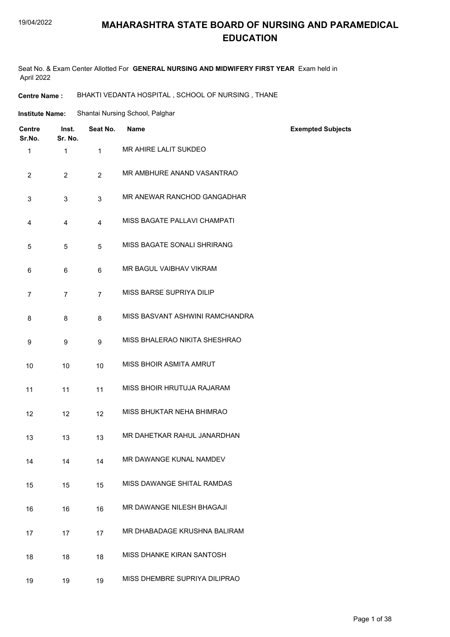#### 19/04/2022

#### **MAHARASHTRA STATE BOARD OF NURSING AND PARAMEDICAL EDUCATION**

Seat No. & Exam Center Allotted For **GENERAL NURSING AND MIDWIFERY FIRST YEAR** Exam held in April 2022

**Centre Name :** BHAKTI VEDANTA HOSPITAL , SCHOOL OF NURSING , THANE

| <b>Institute Name:</b> | Shantai Nursing School, Palghar |  |
|------------------------|---------------------------------|--|
|                        |                                 |  |

| <b>Centre</b><br>Sr.No. | Inst.<br>Sr. No. | Seat No.       | <b>Name</b>                     | <b>Exempted Subjects</b> |
|-------------------------|------------------|----------------|---------------------------------|--------------------------|
| $\mathbf{1}$            | $\mathbf{1}$     | $\mathbf{1}$   | MR AHIRE LALIT SUKDEO           |                          |
| $\overline{2}$          | $\overline{2}$   | $\overline{2}$ | MR AMBHURE ANAND VASANTRAO      |                          |
| 3                       | 3                | 3              | MR ANEWAR RANCHOD GANGADHAR     |                          |
| 4                       | $\overline{4}$   | $\overline{4}$ | MISS BAGATE PALLAVI CHAMPATI    |                          |
| 5                       | 5                | 5              | MISS BAGATE SONALI SHRIRANG     |                          |
| 6                       | 6                | 6              | MR BAGUL VAIBHAV VIKRAM         |                          |
| $\overline{7}$          | $\overline{7}$   | $\overline{7}$ | MISS BARSE SUPRIYA DILIP        |                          |
| 8                       | 8                | 8              | MISS BASVANT ASHWINI RAMCHANDRA |                          |
| 9                       | 9                | 9              | MISS BHALERAO NIKITA SHESHRAO   |                          |
| 10                      | 10               | 10             | MISS BHOIR ASMITA AMRUT         |                          |
| 11                      | 11               | 11             | MISS BHOIR HRUTUJA RAJARAM      |                          |
| 12                      | 12               | 12             | MISS BHUKTAR NEHA BHIMRAO       |                          |
| 13                      | 13               | 13             | MR DAHETKAR RAHUL JANARDHAN     |                          |
| 14                      | 14               | 14             | MR DAWANGE KUNAL NAMDEV         |                          |
| 15                      | 15               | 15             | MISS DAWANGE SHITAL RAMDAS      |                          |
| 16                      | 16               | 16             | MR DAWANGE NILESH BHAGAJI       |                          |
| 17                      | 17               | 17             | MR DHABADAGE KRUSHNA BALIRAM    |                          |
| 18                      | 18               | 18             | MISS DHANKE KIRAN SANTOSH       |                          |
| 19                      | 19               | 19             | MISS DHEMBRE SUPRIYA DILIPRAO   |                          |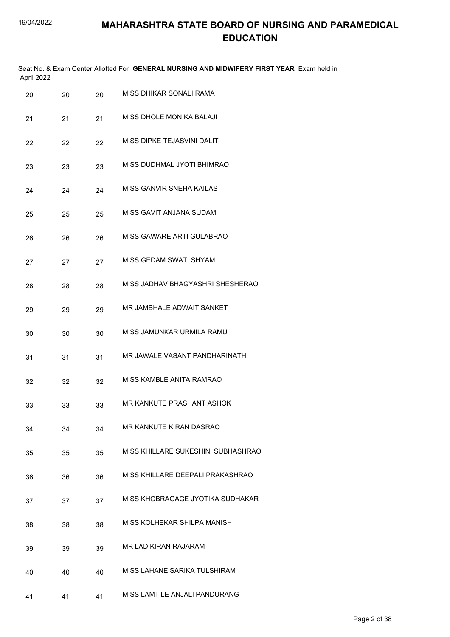| April 2022 |    |    | Seat No. & Exam Center Allotted For GENERAL NURSING AND MIDWIFERY FIRST YEAR Exam held in |
|------------|----|----|-------------------------------------------------------------------------------------------|
| 20         | 20 | 20 | MISS DHIKAR SONALI RAMA                                                                   |
| 21         | 21 | 21 | MISS DHOLE MONIKA BALAJI                                                                  |
| 22         | 22 | 22 | MISS DIPKE TEJASVINI DALIT                                                                |
| 23         | 23 | 23 | MISS DUDHMAL JYOTI BHIMRAO                                                                |
| 24         | 24 | 24 | MISS GANVIR SNEHA KAILAS                                                                  |
| 25         | 25 | 25 | MISS GAVIT ANJANA SUDAM                                                                   |
| 26         | 26 | 26 | MISS GAWARE ARTI GULABRAO                                                                 |
| 27         | 27 | 27 | MISS GEDAM SWATI SHYAM                                                                    |
| 28         | 28 | 28 | MISS JADHAV BHAGYASHRI SHESHERAO                                                          |
| 29         | 29 | 29 | MR JAMBHALE ADWAIT SANKET                                                                 |
| 30         | 30 | 30 | MISS JAMUNKAR URMILA RAMU                                                                 |
| 31         | 31 | 31 | MR JAWALE VASANT PANDHARINATH                                                             |
| 32         | 32 | 32 | MISS KAMBLE ANITA RAMRAO                                                                  |
| 33         | 33 | 33 | MR KANKUTE PRASHANT ASHOK                                                                 |
| 34         | 34 | 34 | MR KANKUTE KIRAN DASRAO                                                                   |
| 35         | 35 | 35 | MISS KHILLARE SUKESHINI SUBHASHRAO                                                        |
| 36         | 36 | 36 | MISS KHILLARE DEEPALI PRAKASHRAO                                                          |
| 37         | 37 | 37 | MISS KHOBRAGAGE JYOTIKA SUDHAKAR                                                          |
| 38         | 38 | 38 | MISS KOLHEKAR SHILPA MANISH                                                               |
| 39         | 39 | 39 | MR LAD KIRAN RAJARAM                                                                      |
| 40         | 40 | 40 | MISS LAHANE SARIKA TULSHIRAM                                                              |
| 41         | 41 | 41 | MISS LAMTILE ANJALI PANDURANG                                                             |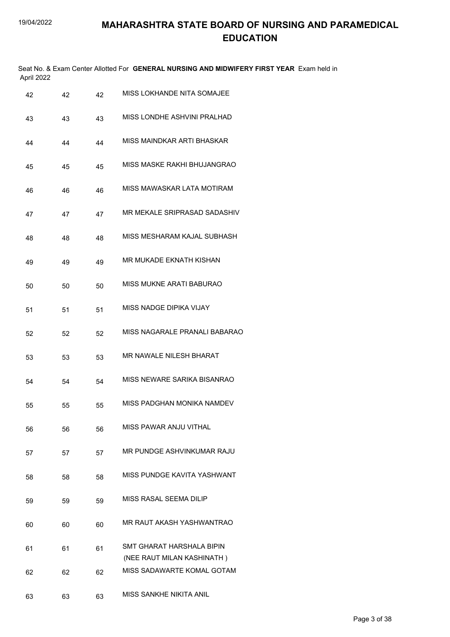|    | April 2022 |    |    | Seat No. & Exam Center Allotted For GENERAL NURSING AND MIDWIFERY FIRST YEAR Exam held in |
|----|------------|----|----|-------------------------------------------------------------------------------------------|
| 42 |            | 42 | 42 | MISS LOKHANDE NITA SOMAJEE                                                                |
| 43 |            | 43 | 43 | MISS LONDHE ASHVINI PRALHAD                                                               |
| 44 |            | 44 | 44 | MISS MAINDKAR ARTI BHASKAR                                                                |
| 45 |            | 45 | 45 | MISS MASKE RAKHI BHUJANGRAO                                                               |
| 46 |            | 46 | 46 | MISS MAWASKAR LATA MOTIRAM                                                                |
| 47 |            | 47 | 47 | MR MEKALE SRIPRASAD SADASHIV                                                              |
| 48 |            | 48 | 48 | MISS MESHARAM KAJAL SUBHASH                                                               |
| 49 |            | 49 | 49 | MR MUKADE EKNATH KISHAN                                                                   |
| 50 |            | 50 | 50 | MISS MUKNE ARATI BABURAO                                                                  |
| 51 |            | 51 | 51 | MISS NADGE DIPIKA VIJAY                                                                   |
| 52 |            | 52 | 52 | MISS NAGARALE PRANALI BABARAO                                                             |
| 53 |            | 53 | 53 | MR NAWALE NILESH BHARAT                                                                   |
| 54 |            | 54 | 54 | MISS NEWARE SARIKA BISANRAO                                                               |
| 55 |            | 55 | 55 | MISS PADGHAN MONIKA NAMDEV                                                                |
| 56 |            | 56 | 56 | MISS PAWAR ANJU VITHAL                                                                    |
| 57 |            | 57 | 57 | MR PUNDGE ASHVINKUMAR RAJU                                                                |
| 58 |            | 58 | 58 | MISS PUNDGE KAVITA YASHWANT                                                               |
| 59 |            | 59 | 59 | MISS RASAL SEEMA DILIP                                                                    |
| 60 |            | 60 | 60 | MR RAUT AKASH YASHWANTRAO                                                                 |
| 61 |            | 61 | 61 | SMT GHARAT HARSHALA BIPIN<br>(NEE RAUT MILAN KASHINATH)                                   |
| 62 |            | 62 | 62 | MISS SADAWARTE KOMAL GOTAM                                                                |
| 63 |            | 63 | 63 | MISS SANKHE NIKITA ANIL                                                                   |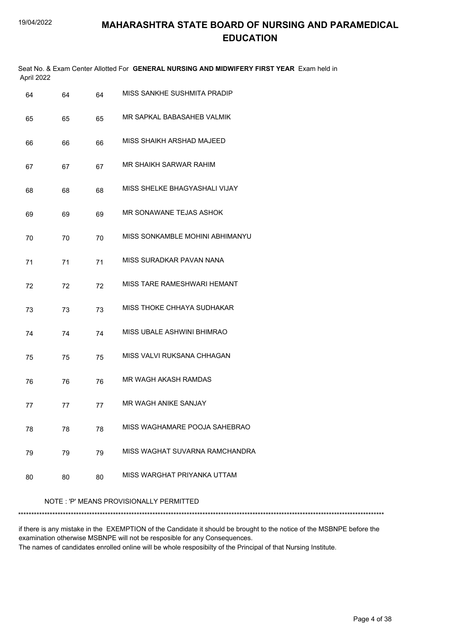| April 2022 |    |    | Seat No. & Exam Center Allotted For GENERAL NURSING AND MIDWIFERY FIRST YEAR Exam held in |
|------------|----|----|-------------------------------------------------------------------------------------------|
| 64         | 64 | 64 | MISS SANKHE SUSHMITA PRADIP                                                               |
| 65         | 65 | 65 | MR SAPKAL BABASAHEB VALMIK                                                                |
| 66         | 66 | 66 | MISS SHAIKH ARSHAD MAJEED                                                                 |
| 67         | 67 | 67 | MR SHAIKH SARWAR RAHIM                                                                    |
| 68         | 68 | 68 | MISS SHELKE BHAGYASHALI VIJAY                                                             |
| 69         | 69 | 69 | MR SONAWANE TEJAS ASHOK                                                                   |
| 70         | 70 | 70 | MISS SONKAMBLE MOHINI ABHIMANYU                                                           |
| 71         | 71 | 71 | MISS SURADKAR PAVAN NANA                                                                  |
| 72         | 72 | 72 | MISS TARE RAMESHWARI HEMANT                                                               |
| 73         | 73 | 73 | MISS THOKE CHHAYA SUDHAKAR                                                                |
| 74         | 74 | 74 | MISS UBALE ASHWINI BHIMRAO                                                                |
| 75         | 75 | 75 | MISS VALVI RUKSANA CHHAGAN                                                                |
| 76         | 76 | 76 | MR WAGH AKASH RAMDAS                                                                      |
| 77         | 77 | 77 | MR WAGH ANIKE SANJAY                                                                      |
| 78         | 78 | 78 | MISS WAGHAMARE POOJA SAHEBRAO                                                             |
| 79         | 79 | 79 | MISS WAGHAT SUVARNA RAMCHANDRA                                                            |
| 80         | 80 | 80 | MISS WARGHAT PRIYANKA UTTAM                                                               |

NOTE : 'P' MEANS PROVISIONALLY PERMITTED

\*\*\*\*\*\*\*\*\*\*\*\*\*\*\*\*\*\*\*\*\*\*\*\*\*\*\*\*\*\*\*\*\*\*\*\*\*\*\*\*\*\*\*\*\*\*\*\*\*\*\*\*\*\*\*\*\*\*\*\*\*\*\*\*\*\*\*\*\*\*\*\*\*\*\*\*\*\*\*\*\*\*\*\*\*\*\*\*\*\*\*\*\*\*\*\*\*\*\*\*\*\*\*\*\*\*\*\*\*\*\*\*\*\*\*\*\*\*\*\*\*\*\*\*\*\*\*\*\*\*\*\*\*\*\*\*\*\*\*

if there is any mistake in the EXEMPTION of the Candidate it should be brought to the notice of the MSBNPE before the examination otherwise MSBNPE will not be resposible for any Consequences.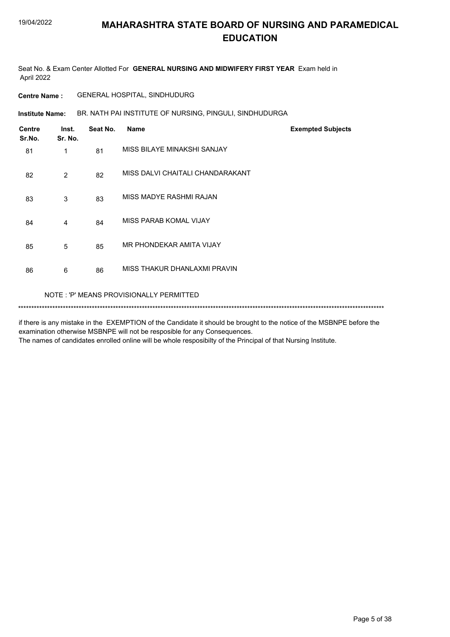Seat No. & Exam Center Allotted For **GENERAL NURSING AND MIDWIFERY FIRST YEAR** Exam held in April 2022

**Centre Name :** GENERAL HOSPITAL, SINDHUDURG

BR. NATH PAI INSTITUTE OF NURSING, PINGULI, SINDHUDURGA **Institute Name:**

| <b>Centre</b><br>Sr.No. | Inst.<br>Sr. No. | Seat No. | <b>Name</b>                      | <b>Exempted Subjects</b> |
|-------------------------|------------------|----------|----------------------------------|--------------------------|
| 81                      | 1                | 81       | MISS BILAYE MINAKSHI SANJAY      |                          |
| 82                      | 2                | 82       | MISS DALVI CHAITALI CHANDARAKANT |                          |
| 83                      | 3                | 83       | MISS MADYE RASHMI RAJAN          |                          |
| 84                      | 4                | 84       | MISS PARAB KOMAL VIJAY           |                          |
| 85                      | 5                | 85       | MR PHONDEKAR AMITA VIJAY         |                          |
| 86                      | 6                | 86       | MISS THAKUR DHANLAXMI PRAVIN     |                          |
|                         |                  |          |                                  |                          |

NOTE : 'P' MEANS PROVISIONALLY PERMITTED

\*\*\*\*\*\*\*\*\*\*\*\*\*\*\*\*\*\*\*\*\*\*\*\*\*\*\*\*\*\*\*\*\*\*\*\*\*\*\*\*\*\*\*\*\*\*\*\*\*\*\*\*\*\*\*\*\*\*\*\*\*\*\*\*\*\*\*\*\*\*\*\*\*\*\*\*\*\*\*\*\*\*\*\*\*\*\*\*\*\*\*\*\*\*\*\*\*\*\*\*\*\*\*\*\*\*\*\*\*\*\*\*\*\*\*\*\*\*\*\*\*\*\*\*\*\*\*\*\*\*\*\*\*\*\*\*\*\*\*

if there is any mistake in the EXEMPTION of the Candidate it should be brought to the notice of the MSBNPE before the examination otherwise MSBNPE will not be resposible for any Consequences.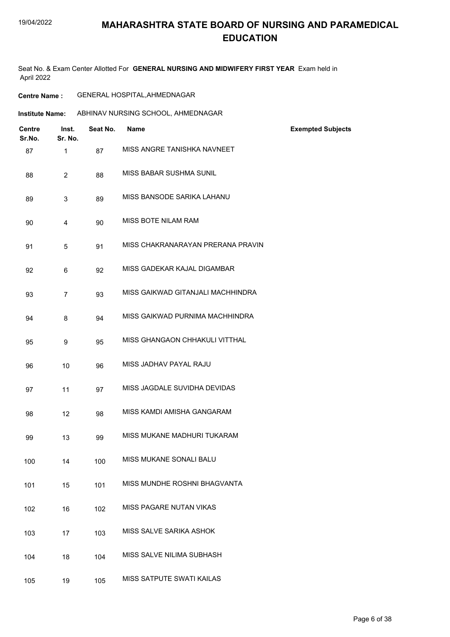Seat No. & Exam Center Allotted For **GENERAL NURSING AND MIDWIFERY FIRST YEAR** Exam held in April 2022

| <b>Centre Name :</b> | <b>GENERAL HOSPITAL, AHMEDNAGAR</b> |
|----------------------|-------------------------------------|
|----------------------|-------------------------------------|

| <b>Centre</b><br>Sr.No. | Inst.<br>Sr. No. | Seat No. | <b>Name</b>                       | <b>Exempted Subjects</b> |
|-------------------------|------------------|----------|-----------------------------------|--------------------------|
| 87                      | 1                | 87       | MISS ANGRE TANISHKA NAVNEET       |                          |
| 88                      | $\overline{2}$   | 88       | MISS BABAR SUSHMA SUNIL           |                          |
| 89                      | 3                | 89       | MISS BANSODE SARIKA LAHANU        |                          |
| 90                      | 4                | 90       | MISS BOTE NILAM RAM               |                          |
| 91                      | 5                | 91       | MISS CHAKRANARAYAN PRERANA PRAVIN |                          |
| 92                      | 6                | 92       | MISS GADEKAR KAJAL DIGAMBAR       |                          |
| 93                      | $\overline{7}$   | 93       | MISS GAIKWAD GITANJALI MACHHINDRA |                          |
| 94                      | 8                | 94       | MISS GAIKWAD PURNIMA MACHHINDRA   |                          |
| 95                      | 9                | 95       | MISS GHANGAON CHHAKULI VITTHAL    |                          |
| 96                      | 10               | 96       | MISS JADHAV PAYAL RAJU            |                          |
| 97                      | 11               | 97       | MISS JAGDALE SUVIDHA DEVIDAS      |                          |
| 98                      | 12               | 98       | MISS KAMDI AMISHA GANGARAM        |                          |
| 99                      | 13               | 99       | MISS MUKANE MADHURI TUKARAM       |                          |
| 100                     | 14               | 100      | MISS MUKANE SONALI BALU           |                          |
| 101                     | 15               | 101      | MISS MUNDHE ROSHNI BHAGVANTA      |                          |
| 102                     | 16               | 102      | MISS PAGARE NUTAN VIKAS           |                          |
| 103                     | 17               | 103      | MISS SALVE SARIKA ASHOK           |                          |
| 104                     | 18               | 104      | MISS SALVE NILIMA SUBHASH         |                          |
| 105                     | 19               | 105      | MISS SATPUTE SWATI KAILAS         |                          |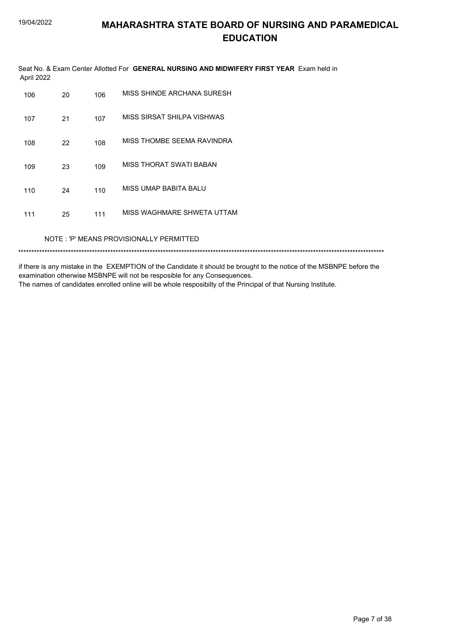Seat No. & Exam Center Allotted For GENERAL NURSING AND MIDWIFERY FIRST YEAR Exam held in April 2022

| 106 | 20 | 106 | MISS SHINDE ARCHANA SURESH |
|-----|----|-----|----------------------------|
| 107 | 21 | 107 | MISS SIRSAT SHILPA VISHWAS |
| 108 | 22 | 108 | MISS THOMBE SEEMA RAVINDRA |
| 109 | 23 | 109 | MISS THORAT SWATI BABAN    |
| 110 | 24 | 110 | MISS UMAP BABITA BALU      |
| 111 | 25 | 111 | MISS WAGHMARE SHWETA UTTAM |

NOTE: 'P' MEANS PROVISIONALLY PERMITTED

if there is any mistake in the EXEMPTION of the Candidate it should be brought to the notice of the MSBNPE before the examination otherwise MSBNPE will not be resposible for any Consequences.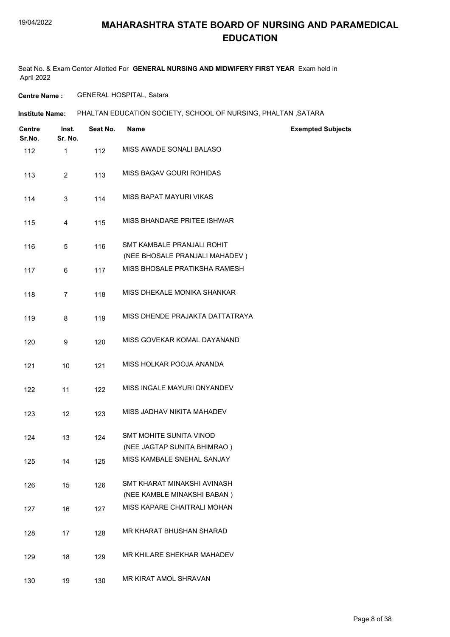Seat No. & Exam Center Allotted For **GENERAL NURSING AND MIDWIFERY FIRST YEAR** Exam held in April 2022

**Centre Name :** GENERAL HOSPITAL, Satara

| <b>Centre</b><br>Sr.No. | Inst.<br>Sr. No. | Seat No. | <b>Name</b>                                                   | <b>Exempted Subjects</b> |
|-------------------------|------------------|----------|---------------------------------------------------------------|--------------------------|
| 112                     | $\mathbf{1}$     | 112      | MISS AWADE SONALI BALASO                                      |                          |
| 113                     | $\overline{2}$   | 113      | MISS BAGAV GOURI ROHIDAS                                      |                          |
| 114                     | 3                | 114      | MISS BAPAT MAYURI VIKAS                                       |                          |
| 115                     | 4                | 115      | MISS BHANDARE PRITEE ISHWAR                                   |                          |
| 116                     | 5                | 116      | SMT KAMBALE PRANJALI ROHIT<br>(NEE BHOSALE PRANJALI MAHADEV)  |                          |
| 117                     | 6                | 117      | MISS BHOSALE PRATIKSHA RAMESH                                 |                          |
| 118                     | $\overline{7}$   | 118      | MISS DHEKALE MONIKA SHANKAR                                   |                          |
| 119                     | 8                | 119      | MISS DHENDE PRAJAKTA DATTATRAYA                               |                          |
| 120                     | 9                | 120      | MISS GOVEKAR KOMAL DAYANAND                                   |                          |
| 121                     | 10               | 121      | MISS HOLKAR POOJA ANANDA                                      |                          |
| 122                     | 11               | 122      | MISS INGALE MAYURI DNYANDEV                                   |                          |
| 123                     | 12               | 123      | MISS JADHAV NIKITA MAHADEV                                    |                          |
| 124                     | 13               | 124      | <b>SMT MOHITE SUNITA VINOD</b><br>(NEE JAGTAP SUNITA BHIMRAO) |                          |
| 125                     | 14               | 125      | MISS KAMBALE SNEHAL SANJAY                                    |                          |
| 126                     | 15               | 126      | SMT KHARAT MINAKSHI AVINASH<br>(NEE KAMBLE MINAKSHI BABAN)    |                          |
| 127                     | 16               | 127      | MISS KAPARE CHAITRALI MOHAN                                   |                          |
| 128                     | 17               | 128      | MR KHARAT BHUSHAN SHARAD                                      |                          |
| 129                     | 18               | 129      | MR KHILARE SHEKHAR MAHADEV                                    |                          |
| 130                     | 19               | 130      | MR KIRAT AMOL SHRAVAN                                         |                          |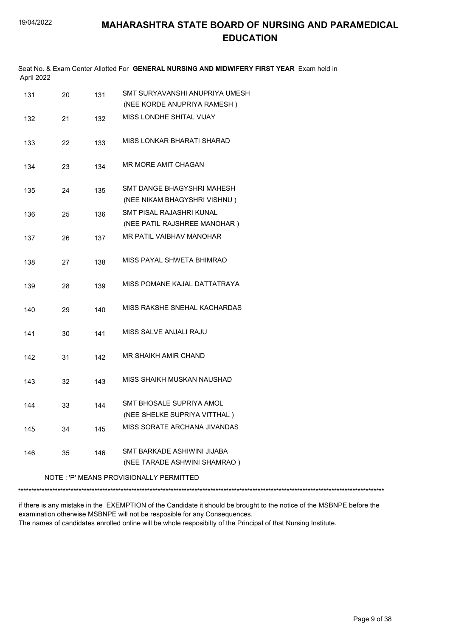| April 2022 |    |     | Seat No. & Exam Center Allotted For GENERAL NURSING AND MIDWIFERY FIRST YEAR Exam held in |
|------------|----|-----|-------------------------------------------------------------------------------------------|
| 131        | 20 | 131 | SMT SURYAVANSHI ANUPRIYA UMESH                                                            |
|            |    |     | (NEE KORDE ANUPRIYA RAMESH)                                                               |
| 132        | 21 | 132 | MISS LONDHE SHITAL VIJAY                                                                  |
| 133        | 22 | 133 | MISS LONKAR BHARATI SHARAD                                                                |
| 134        | 23 | 134 | MR MORE AMIT CHAGAN                                                                       |
| 135        | 24 | 135 | SMT DANGE BHAGYSHRI MAHESH                                                                |
|            |    |     | (NEE NIKAM BHAGYSHRI VISHNU)                                                              |
| 136        | 25 | 136 | SMT PISAL RAJASHRI KUNAL                                                                  |
|            |    |     | (NEE PATIL RAJSHREE MANOHAR)                                                              |
| 137        | 26 | 137 | MR PATIL VAIBHAV MANOHAR                                                                  |
| 138        | 27 | 138 | MISS PAYAL SHWETA BHIMRAO                                                                 |
| 139        | 28 | 139 | MISS POMANE KAJAL DATTATRAYA                                                              |
| 140        | 29 | 140 | MISS RAKSHE SNEHAL KACHARDAS                                                              |
| 141        | 30 | 141 | MISS SALVE ANJALI RAJU                                                                    |
| 142        | 31 | 142 | MR SHAIKH AMIR CHAND                                                                      |
| 143        | 32 | 143 | MISS SHAIKH MUSKAN NAUSHAD                                                                |
| 144        | 33 | 144 | SMT BHOSALE SUPRIYA AMOL<br>(NEE SHELKE SUPRIYA VITTHAL)                                  |
| 145        | 34 | 145 | MISS SORATE ARCHANA JIVANDAS                                                              |
| 146        | 35 | 146 | SMT BARKADE ASHIWINI JIJABA<br>(NEE TARADE ASHWINI SHAMRAO)                               |
|            |    |     | NOTE: 'P' MEANS PROVISIONALLY PERMITTED                                                   |
|            |    |     |                                                                                           |
|            |    |     |                                                                                           |

if there is any mistake in the EXEMPTION of the Candidate it should be brought to the notice of the MSBNPE before the examination otherwise MSBNPE will not be resposible for any Consequences.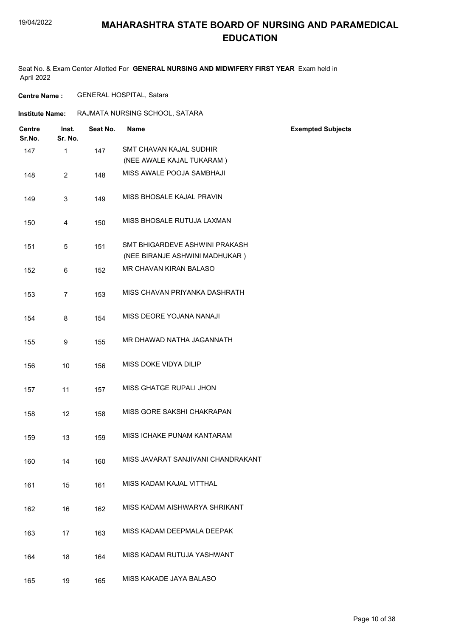Seat No. & Exam Center Allotted For **GENERAL NURSING AND MIDWIFERY FIRST YEAR** Exam held in April 2022

**Centre Name :** GENERAL HOSPITAL, Satara

| <b>Institute Name:</b>  |                         | RAJMATA NURSING SCHOOL, SATARA |                                                                  |                          |
|-------------------------|-------------------------|--------------------------------|------------------------------------------------------------------|--------------------------|
| <b>Centre</b><br>Sr.No. | Inst.<br>Sr. No.        | Seat No.                       | <b>Name</b>                                                      | <b>Exempted Subjects</b> |
| 147                     | $\mathbf{1}$            | 147                            | SMT CHAVAN KAJAL SUDHIR                                          |                          |
|                         |                         |                                | (NEE AWALE KAJAL TUKARAM)                                        |                          |
| 148                     | $\overline{2}$          | 148                            | MISS AWALE POOJA SAMBHAJI                                        |                          |
| 149                     | 3                       | 149                            | MISS BHOSALE KAJAL PRAVIN                                        |                          |
| 150                     | $\overline{\mathbf{4}}$ | 150                            | MISS BHOSALE RUTUJA LAXMAN                                       |                          |
| 151                     | 5                       | 151                            | SMT BHIGARDEVE ASHWINI PRAKASH<br>(NEE BIRANJE ASHWINI MADHUKAR) |                          |
| 152                     | 6                       | 152                            | MR CHAVAN KIRAN BALASO                                           |                          |
| 153                     | $\overline{7}$          | 153                            | MISS CHAVAN PRIYANKA DASHRATH                                    |                          |
| 154                     | 8                       | 154                            | MISS DEORE YOJANA NANAJI                                         |                          |
| 155                     | 9                       | 155                            | MR DHAWAD NATHA JAGANNATH                                        |                          |
| 156                     | 10                      | 156                            | MISS DOKE VIDYA DILIP                                            |                          |
| 157                     | 11                      | 157                            | MISS GHATGE RUPALI JHON                                          |                          |
| 158                     | 12                      | 158                            | MISS GORE SAKSHI CHAKRAPAN                                       |                          |
| 159                     | 13                      | 159                            | MISS ICHAKE PUNAM KANTARAM                                       |                          |
| 160                     | 14                      | 160                            | MISS JAVARAT SANJIVANI CHANDRAKANT                               |                          |
| 161                     | 15                      | 161                            | MISS KADAM KAJAL VITTHAL                                         |                          |
| 162                     | 16                      | 162                            | MISS KADAM AISHWARYA SHRIKANT                                    |                          |
| 163                     | 17                      | 163                            | MISS KADAM DEEPMALA DEEPAK                                       |                          |
| 164                     | 18                      | 164                            | MISS KADAM RUTUJA YASHWANT                                       |                          |
| 165                     | 19                      | 165                            | MISS KAKADE JAYA BALASO                                          |                          |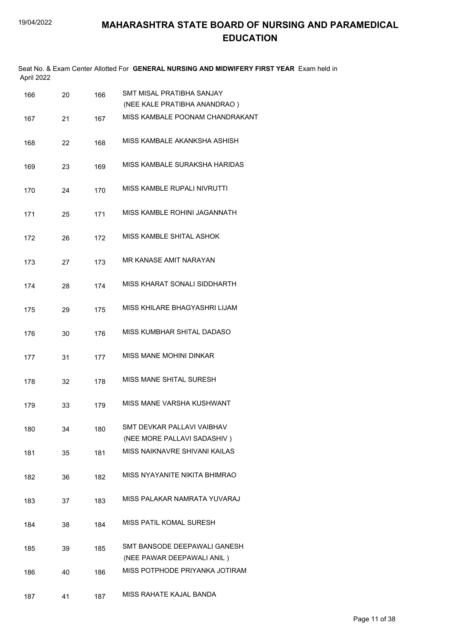| April 2022 |    |     | Seat No. & Exam Center Allotted For GENERAL NURSING AND MIDWIFERY FIRST YEAR Exam held in |
|------------|----|-----|-------------------------------------------------------------------------------------------|
| 166        | 20 | 166 | SMT MISAL PRATIBHA SANJAY                                                                 |
|            |    |     | (NEE KALE PRATIBHA ANANDRAO)                                                              |
| 167        | 21 | 167 | MISS KAMBALE POONAM CHANDRAKANT                                                           |
| 168        | 22 | 168 | MISS KAMBALE AKANKSHA ASHISH                                                              |
| 169        | 23 | 169 | MISS KAMBALE SURAKSHA HARIDAS                                                             |
| 170        | 24 | 170 | MISS KAMBLE RUPALI NIVRUTTI                                                               |
| 171        | 25 | 171 | MISS KAMBLE ROHINI JAGANNATH                                                              |
| 172        | 26 | 172 | MISS KAMBLE SHITAL ASHOK                                                                  |
| 173        | 27 | 173 | MR KANASE AMIT NARAYAN                                                                    |
| 174        | 28 | 174 | MISS KHARAT SONALI SIDDHARTH                                                              |
| 175        | 29 | 175 | MISS KHILARE BHAGYASHRI LIJAM                                                             |
| 176        | 30 | 176 | MISS KUMBHAR SHITAL DADASO                                                                |
| 177        | 31 | 177 | MISS MANE MOHINI DINKAR                                                                   |
| 178        | 32 | 178 | MISS MANE SHITAL SURESH                                                                   |
| 179        | 33 | 179 | MISS MANE VARSHA KUSHWANT                                                                 |
| 180        | 34 | 180 | SMT DEVKAR PALLAVI VAIBHAV<br>(NEE MORE PALLAVI SADASHIV)                                 |
| 181        | 35 | 181 | MISS NAIKNAVRE SHIVANI KAILAS                                                             |
| 182        | 36 | 182 | MISS NYAYANITE NIKITA BHIMRAO                                                             |
| 183        | 37 | 183 | MISS PALAKAR NAMRATA YUVARAJ                                                              |
| 184        | 38 | 184 | MISS PATIL KOMAL SURESH                                                                   |
| 185        | 39 | 185 | SMT BANSODE DEEPAWALI GANESH<br>(NEE PAWAR DEEPAWALI ANIL)                                |
| 186        | 40 | 186 | MISS POTPHODE PRIYANKA JOTIRAM                                                            |
| 187        | 41 | 187 | MISS RAHATE KAJAL BANDA                                                                   |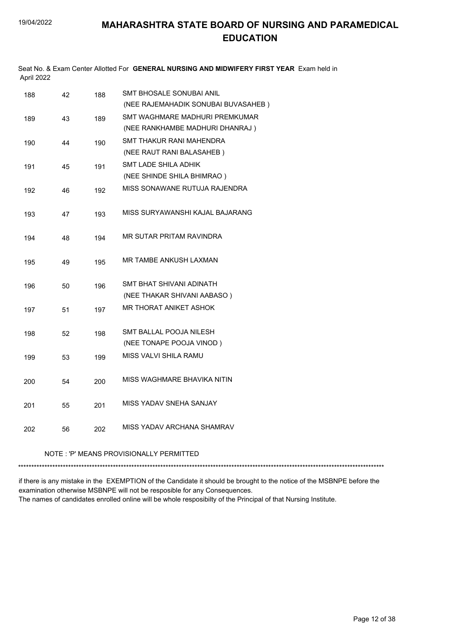| April 2022 |    |     | Seat No. & Exam Center Allotted For GENERAL NURSING AND MIDWIFERY FIRST YEAR Exam held in |
|------------|----|-----|-------------------------------------------------------------------------------------------|
| 188        | 42 | 188 | SMT BHOSALE SONUBAI ANIL                                                                  |
|            |    |     | (NEE RAJEMAHADIK SONUBAI BUVASAHEB)                                                       |
| 189        | 43 | 189 | SMT WAGHMARE MADHURI PREMKUMAR                                                            |
|            |    |     | (NEE RANKHAMBE MADHURI DHANRAJ)                                                           |
| 190        | 44 | 190 | SMT THAKUR RANI MAHENDRA                                                                  |
|            |    |     | (NEE RAUT RANI BALASAHEB)                                                                 |
| 191        | 45 | 191 | SMT LADE SHILA ADHIK                                                                      |
|            |    |     | (NEE SHINDE SHILA BHIMRAO)                                                                |
| 192        | 46 | 192 | MISS SONAWANE RUTUJA RAJENDRA                                                             |
| 193        | 47 | 193 | MISS SURYAWANSHI KAJAL BAJARANG                                                           |
| 194        | 48 | 194 | MR SUTAR PRITAM RAVINDRA                                                                  |
| 195        | 49 | 195 | MR TAMBE ANKUSH LAXMAN                                                                    |
| 196        | 50 | 196 | SMT BHAT SHIVANI ADINATH                                                                  |
|            |    |     | (NEE THAKAR SHIVANI AABASO)                                                               |
| 197        | 51 | 197 | MR THORAT ANIKET ASHOK                                                                    |
| 198        | 52 | 198 | SMT BALLAL POOJA NILESH                                                                   |
|            |    |     | (NEE TONAPE POOJA VINOD)                                                                  |
| 199        | 53 | 199 | MISS VALVI SHILA RAMU                                                                     |
| 200        | 54 | 200 | MISS WAGHMARE BHAVIKA NITIN                                                               |
|            |    |     | MISS YADAV SNEHA SANJAY                                                                   |
| 201        | 55 | 201 |                                                                                           |
| 202        | 56 | 202 | MISS YADAV ARCHANA SHAMRAV                                                                |
|            |    |     | NOTE : 'P' MEANS PROVISIONALLY PERMITTED                                                  |

if there is any mistake in the EXEMPTION of the Candidate it should be brought to the notice of the MSBNPE before the examination otherwise MSBNPE will not be resposible for any Consequences.

\*\*\*\*\*\*\*\*\*\*\*\*\*\*\*\*\*\*\*\*\*\*\*\*\*\*\*\*\*\*\*\*\*\*\*\*\*\*\*\*\*\*\*\*\*\*\*\*\*\*\*\*\*\*\*\*\*\*\*\*\*\*\*\*\*\*\*\*\*\*\*\*\*\*\*\*\*\*\*\*\*\*\*\*\*\*\*\*\*\*\*\*\*\*\*\*\*\*\*\*\*\*\*\*\*\*\*\*\*\*\*\*\*\*\*\*\*\*\*\*\*\*\*\*\*\*\*\*\*\*\*\*\*\*\*\*\*\*\*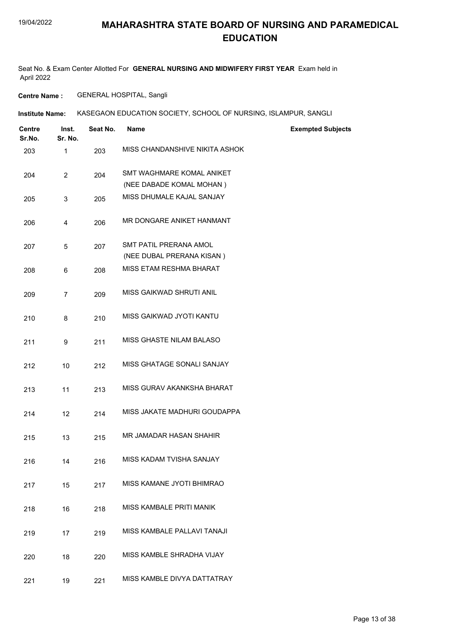Seat No. & Exam Center Allotted For **GENERAL NURSING AND MIDWIFERY FIRST YEAR** Exam held in April 2022

**Centre Name :** GENERAL HOSPITAL, Sangli

| Institute Name: | KASEGAON EDUCATION SOCIETY, SCHOOL OF NURSING, ISLAMPUR, SANGLI |
|-----------------|-----------------------------------------------------------------|
|                 |                                                                 |

| <b>Centre</b><br>Sr.No. | Inst.<br>Sr. No. | Seat No. | <b>Name</b>                                           | <b>Exempted Subjects</b> |
|-------------------------|------------------|----------|-------------------------------------------------------|--------------------------|
| 203                     | 1                | 203      | MISS CHANDANSHIVE NIKITA ASHOK                        |                          |
| 204                     | $\overline{2}$   | 204      | SMT WAGHMARE KOMAL ANIKET<br>(NEE DABADE KOMAL MOHAN) |                          |
| 205                     | 3                | 205      | MISS DHUMALE KAJAL SANJAY                             |                          |
| 206                     | $\overline{4}$   | 206      | MR DONGARE ANIKET HANMANT                             |                          |
| 207                     | 5                | 207      | SMT PATIL PRERANA AMOL<br>(NEE DUBAL PRERANA KISAN)   |                          |
| 208                     | 6                | 208      | MISS ETAM RESHMA BHARAT                               |                          |
| 209                     | $\overline{7}$   | 209      | MISS GAIKWAD SHRUTI ANIL                              |                          |
| 210                     | 8                | 210      | MISS GAIKWAD JYOTI KANTU                              |                          |
| 211                     | 9                | 211      | MISS GHASTE NILAM BALASO                              |                          |
| 212                     | 10               | 212      | MISS GHATAGE SONALI SANJAY                            |                          |
| 213                     | 11               | 213      | MISS GURAV AKANKSHA BHARAT                            |                          |
| 214                     | 12               | 214      | MISS JAKATE MADHURI GOUDAPPA                          |                          |
| 215                     | 13               | 215      | MR JAMADAR HASAN SHAHIR                               |                          |
| 216                     | 14               | 216      | MISS KADAM TVISHA SANJAY                              |                          |
| 217                     | 15               | 217      | MISS KAMANE JYOTI BHIMRAO                             |                          |
| 218                     | 16               | 218      | MISS KAMBALE PRITI MANIK                              |                          |
| 219                     | 17               | 219      | MISS KAMBALE PALLAVI TANAJI                           |                          |
| 220                     | 18               | 220      | MISS KAMBLE SHRADHA VIJAY                             |                          |
| 221                     | 19               | 221      | MISS KAMBLE DIVYA DATTATRAY                           |                          |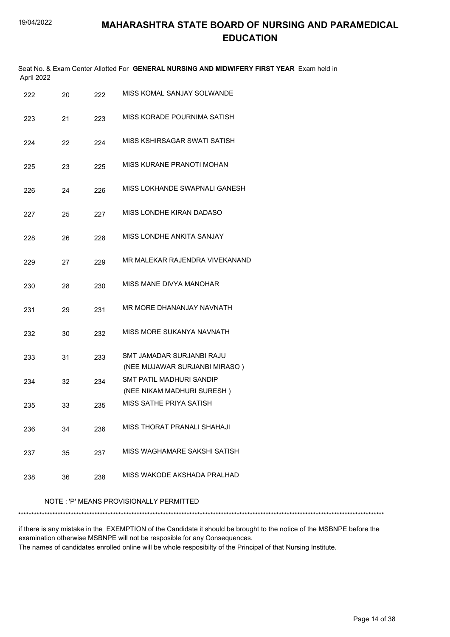| April 2022 |    |     | Seat No. & Exam Center Allotted For GENERAL NURSING AND MIDWIFERY FIRST YEAR Exam held in |
|------------|----|-----|-------------------------------------------------------------------------------------------|
| 222        | 20 | 222 | MISS KOMAL SANJAY SOLWANDE                                                                |
| 223        | 21 | 223 | MISS KORADE POURNIMA SATISH                                                               |
| 224        | 22 | 224 | MISS KSHIRSAGAR SWATI SATISH                                                              |
| 225        | 23 | 225 | MISS KURANE PRANOTI MOHAN                                                                 |
| 226        | 24 | 226 | MISS LOKHANDE SWAPNALI GANESH                                                             |
| 227        | 25 | 227 | MISS LONDHE KIRAN DADASO                                                                  |
| 228        | 26 | 228 | MISS LONDHE ANKITA SANJAY                                                                 |
| 229        | 27 | 229 | MR MALEKAR RAJENDRA VIVEKANAND                                                            |
| 230        | 28 | 230 | MISS MANE DIVYA MANOHAR                                                                   |
| 231        | 29 | 231 | MR MORE DHANANJAY NAVNATH                                                                 |
| 232        | 30 | 232 | MISS MORE SUKANYA NAVNATH                                                                 |
| 233        | 31 | 233 | SMT JAMADAR SURJANBI RAJU<br>(NEE MUJAWAR SURJANBI MIRASO)                                |
| 234        | 32 | 234 | <b>SMT PATIL MADHURI SANDIP</b><br>(NEE NIKAM MADHURI SURESH)                             |
| 235        | 33 | 235 | MISS SATHE PRIYA SATISH                                                                   |
| 236        | 34 | 236 | MISS THORAT PRANALI SHAHAJI                                                               |
| 237        | 35 | 237 | MISS WAGHAMARE SAKSHI SATISH                                                              |
| 238        | 36 | 238 | MISS WAKODE AKSHADA PRALHAD                                                               |
|            |    |     |                                                                                           |

NOTE : 'P' MEANS PROVISIONALLY PERMITTED

\*\*\*\*\*\*\*\*\*\*\*\*\*\*\*\*\*\*\*\*\*\*\*\*\*\*\*\*\*\*\*\*\*\*\*\*\*\*\*\*\*\*\*\*\*\*\*\*\*\*\*\*\*\*\*\*\*\*\*\*\*\*\*\*\*\*\*\*\*\*\*\*\*\*\*\*\*\*\*\*\*\*\*\*\*\*\*\*\*\*\*\*\*\*\*\*\*\*\*\*\*\*\*\*\*\*\*\*\*\*\*\*\*\*\*\*\*\*\*\*\*\*\*\*\*\*\*\*\*\*\*\*\*\*\*\*\*\*\*

if there is any mistake in the EXEMPTION of the Candidate it should be brought to the notice of the MSBNPE before the examination otherwise MSBNPE will not be resposible for any Consequences.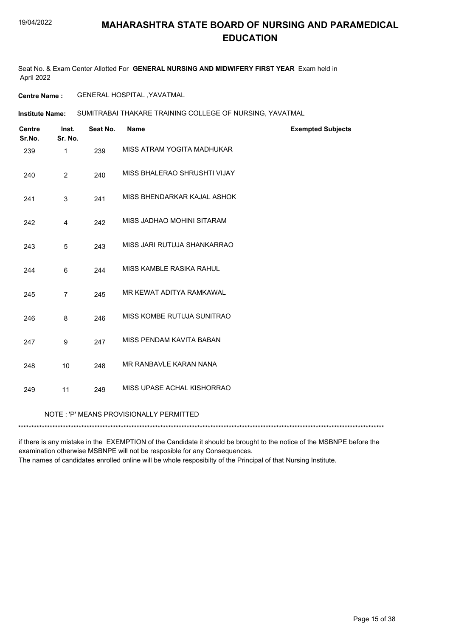Seat No. & Exam Center Allotted For **GENERAL NURSING AND MIDWIFERY FIRST YEAR** Exam held in April 2022

**Centre Name :** GENERAL HOSPITAL ,YAVATMAL

SUMITRABAI THAKARE TRAINING COLLEGE OF NURSING, YAVATMAL **Institute Name:**

| <b>Centre</b><br>Sr.No. | Inst.<br>Sr. No. | Seat No. | <b>Name</b>                             | <b>Exempted Subjects</b> |
|-------------------------|------------------|----------|-----------------------------------------|--------------------------|
| 239                     | $\mathbf{1}$     | 239      | MISS ATRAM YOGITA MADHUKAR              |                          |
| 240                     | $\overline{2}$   | 240      | MISS BHALERAO SHRUSHTI VIJAY            |                          |
| 241                     | 3                | 241      | MISS BHENDARKAR KAJAL ASHOK             |                          |
| 242                     | 4                | 242      | MISS JADHAO MOHINI SITARAM              |                          |
| 243                     | 5                | 243      | MISS JARI RUTUJA SHANKARRAO             |                          |
| 244                     | 6                | 244      | MISS KAMBLE RASIKA RAHUL                |                          |
| 245                     | $\overline{7}$   | 245      | MR KEWAT ADITYA RAMKAWAL                |                          |
| 246                     | 8                | 246      | MISS KOMBE RUTUJA SUNITRAO              |                          |
| 247                     | 9                | 247      | MISS PENDAM KAVITA BABAN                |                          |
| 248                     | 10               | 248      | MR RANBAVLE KARAN NANA                  |                          |
| 249                     | 11               | 249      | MISS UPASE ACHAL KISHORRAO              |                          |
|                         |                  |          | NOTE: 'P' MEANS PROVISIONALLY PERMITTED |                          |
|                         |                  |          |                                         |                          |

if there is any mistake in the EXEMPTION of the Candidate it should be brought to the notice of the MSBNPE before the examination otherwise MSBNPE will not be resposible for any Consequences.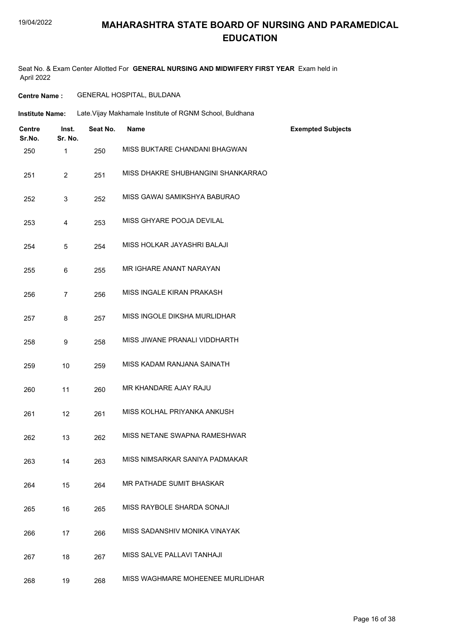#### 19/04/2022

#### **MAHARASHTRA STATE BOARD OF NURSING AND PARAMEDICAL EDUCATION**

Seat No. & Exam Center Allotted For **GENERAL NURSING AND MIDWIFERY FIRST YEAR** Exam held in April 2022

#### **Centre Name :** GENERAL HOSPITAL, BULDANA

**Institute Name:** Late.Vijay Makhamale Institute of RGNM School, Buldhana

| <b>Centre</b><br>Sr.No. | Inst.<br>Sr. No. | Seat No. | <b>Name</b>                        | <b>Exempted Subjects</b> |
|-------------------------|------------------|----------|------------------------------------|--------------------------|
| 250                     | 1                | 250      | MISS BUKTARE CHANDANI BHAGWAN      |                          |
| 251                     | $\overline{2}$   | 251      | MISS DHAKRE SHUBHANGINI SHANKARRAO |                          |
| 252                     | 3                | 252      | MISS GAWAI SAMIKSHYA BABURAO       |                          |
| 253                     | 4                | 253      | MISS GHYARE POOJA DEVILAL          |                          |
| 254                     | 5                | 254      | MISS HOLKAR JAYASHRI BALAJI        |                          |
| 255                     | 6                | 255      | MR IGHARE ANANT NARAYAN            |                          |
| 256                     | $\overline{7}$   | 256      | MISS INGALE KIRAN PRAKASH          |                          |
| 257                     | $\bf 8$          | 257      | MISS INGOLE DIKSHA MURLIDHAR       |                          |
| 258                     | 9                | 258      | MISS JIWANE PRANALI VIDDHARTH      |                          |
| 259                     | 10               | 259      | MISS KADAM RANJANA SAINATH         |                          |
| 260                     | 11               | 260      | MR KHANDARE AJAY RAJU              |                          |
| 261                     | 12               | 261      | MISS KOLHAL PRIYANKA ANKUSH        |                          |
| 262                     | 13               | 262      | MISS NETANE SWAPNA RAMESHWAR       |                          |
| 263                     | 14               | 263      | MISS NIMSARKAR SANIYA PADMAKAR     |                          |
| 264                     | 15               | 264      | MR PATHADE SUMIT BHASKAR           |                          |
| 265                     | 16               | 265      | MISS RAYBOLE SHARDA SONAJI         |                          |
| 266                     | 17               | 266      | MISS SADANSHIV MONIKA VINAYAK      |                          |
| 267                     | 18               | 267      | MISS SALVE PALLAVI TANHAJI         |                          |
| 268                     | 19               | 268      | MISS WAGHMARE MOHEENEE MURLIDHAR   |                          |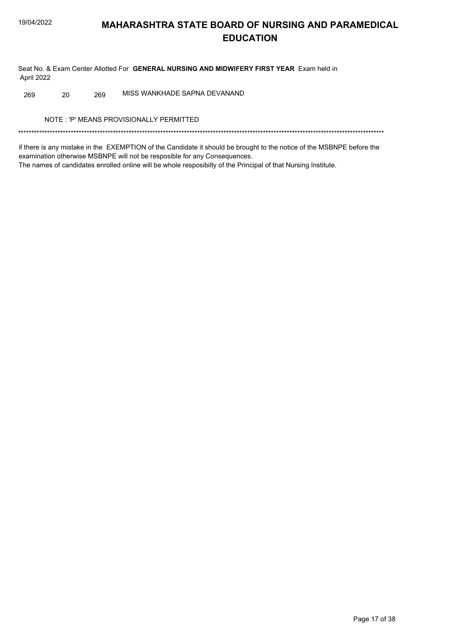Seat No. & Exam Center Allotted For GENERAL NURSING AND MIDWIFERY FIRST YEAR Exam held in April 2022

MISS WANKHADE SAPNA DEVANAND 269 20 269

NOTE: 'P' MEANS PROVISIONALLY PERMITTED

if there is any mistake in the EXEMPTION of the Candidate it should be brought to the notice of the MSBNPE before the examination otherwise MSBNPE will not be resposible for any Consequences. The names of candidates enrolled online will be whole resposibilty of the Principal of that Nursing Institute.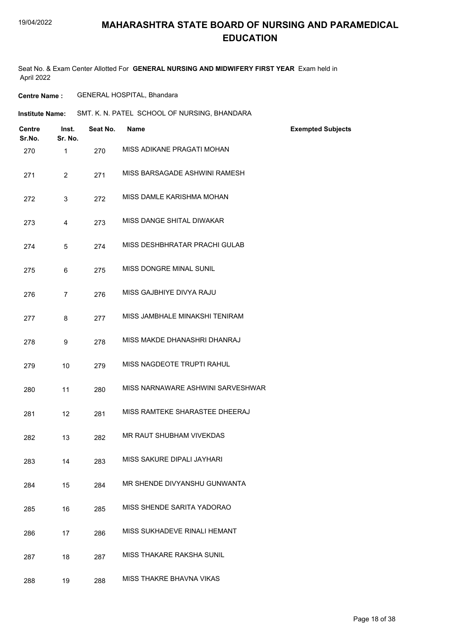Seat No. & Exam Center Allotted For **GENERAL NURSING AND MIDWIFERY FIRST YEAR** Exam held in April 2022

**Centre Name :** GENERAL HOSPITAL, Bhandara

**Institute Name:** SMT. K. N. PATEL SCHOOL OF NURSING, BHANDARA

| <b>Centre</b><br>Sr.No. | Inst.<br>Sr. No. | Seat No. | <b>Name</b>                       | <b>Exempted Subjects</b> |
|-------------------------|------------------|----------|-----------------------------------|--------------------------|
| 270                     | $\mathbf 1$      | 270      | MISS ADIKANE PRAGATI MOHAN        |                          |
| 271                     | $\overline{2}$   | 271      | MISS BARSAGADE ASHWINI RAMESH     |                          |
| 272                     | 3                | 272      | MISS DAMLE KARISHMA MOHAN         |                          |
| 273                     | 4                | 273      | MISS DANGE SHITAL DIWAKAR         |                          |
| 274                     | 5                | 274      | MISS DESHBHRATAR PRACHI GULAB     |                          |
| 275                     | 6                | 275      | MISS DONGRE MINAL SUNIL           |                          |
| 276                     | $\overline{7}$   | 276      | MISS GAJBHIYE DIVYA RAJU          |                          |
| 277                     | 8                | 277      | MISS JAMBHALE MINAKSHI TENIRAM    |                          |
| 278                     | 9                | 278      | MISS MAKDE DHANASHRI DHANRAJ      |                          |
| 279                     | 10               | 279      | MISS NAGDEOTE TRUPTI RAHUL        |                          |
| 280                     | 11               | 280      | MISS NARNAWARE ASHWINI SARVESHWAR |                          |
| 281                     | 12               | 281      | MISS RAMTEKE SHARASTEE DHEERAJ    |                          |
| 282                     | 13               | 282      | MR RAUT SHUBHAM VIVEKDAS          |                          |
| 283                     | 14               | 283      | MISS SAKURE DIPALI JAYHARI        |                          |
| 284                     | 15               | 284      | MR SHENDE DIVYANSHU GUNWANTA      |                          |
| 285                     | 16               | 285      | MISS SHENDE SARITA YADORAO        |                          |
| 286                     | 17               | 286      | MISS SUKHADEVE RINALI HEMANT      |                          |
| 287                     | 18               | 287      | <b>MISS THAKARE RAKSHA SUNIL</b>  |                          |
| 288                     | 19               | 288      | MISS THAKRE BHAVNA VIKAS          |                          |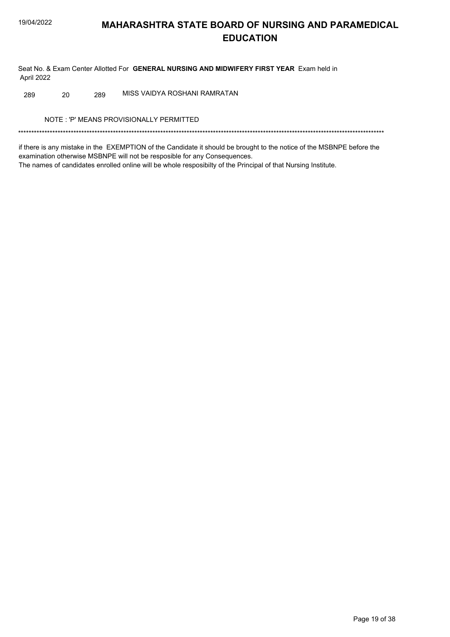Seat No. & Exam Center Allotted For GENERAL NURSING AND MIDWIFERY FIRST YEAR Exam held in April 2022

MISS VAIDYA ROSHANI RAMRATAN 289 20 289

NOTE: 'P' MEANS PROVISIONALLY PERMITTED

if there is any mistake in the EXEMPTION of the Candidate it should be brought to the notice of the MSBNPE before the examination otherwise MSBNPE will not be resposible for any Consequences. The names of candidates enrolled online will be whole resposibilty of the Principal of that Nursing Institute.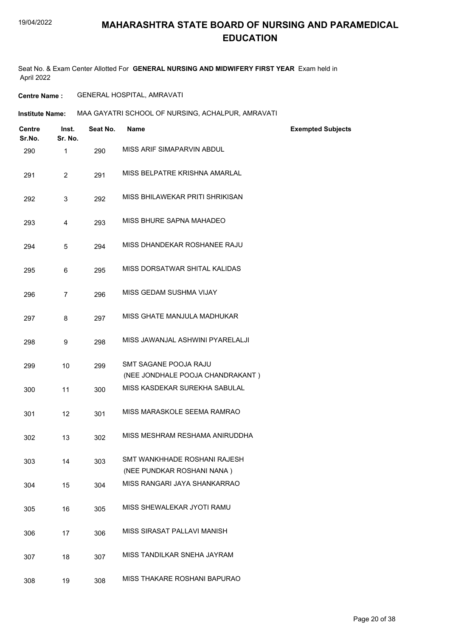Seat No. & Exam Center Allotted For **GENERAL NURSING AND MIDWIFERY FIRST YEAR** Exam held in April 2022

#### **Centre Name :** GENERAL HOSPITAL, AMRAVATI

**Institute Name: MAA GAYATRI SCHOOL OF NURSING, ACHALPUR, AMRAVATI** 

| <b>Centre</b><br>Sr.No. | Inst.<br>Sr. No. | Seat No. | <b>Name</b>                                                       | <b>Exempted Subjects</b> |
|-------------------------|------------------|----------|-------------------------------------------------------------------|--------------------------|
| 290                     | 1                | 290      | MISS ARIF SIMAPARVIN ABDUL                                        |                          |
| 291                     | $\overline{2}$   | 291      | MISS BELPATRE KRISHNA AMARLAL                                     |                          |
| 292                     | 3                | 292      | MISS BHILAWEKAR PRITI SHRIKISAN                                   |                          |
| 293                     | 4                | 293      | MISS BHURE SAPNA MAHADEO                                          |                          |
| 294                     | 5                | 294      | MISS DHANDEKAR ROSHANEE RAJU                                      |                          |
| 295                     | 6                | 295      | MISS DORSATWAR SHITAL KALIDAS                                     |                          |
| 296                     | $\overline{7}$   | 296      | MISS GEDAM SUSHMA VIJAY                                           |                          |
| 297                     | 8                | 297      | MISS GHATE MANJULA MADHUKAR                                       |                          |
| 298                     | 9                | 298      | MISS JAWANJAL ASHWINI PYARELALJI                                  |                          |
| 299                     | 10               | 299      | SMT SAGANE POOJA RAJU                                             |                          |
| 300                     | 11               | 300      | (NEE JONDHALE POOJA CHANDRAKANT)<br>MISS KASDEKAR SUREKHA SABULAL |                          |
| 301                     | 12               | 301      | MISS MARASKOLE SEEMA RAMRAO                                       |                          |
| 302                     | 13               | 302      | MISS MESHRAM RESHAMA ANIRUDDHA                                    |                          |
| 303                     | 14               | 303      | SMT WANKHHADE ROSHANI RAJESH<br>(NEE PUNDKAR ROSHANI NANA)        |                          |
| 304                     | 15               | 304      | MISS RANGARI JAYA SHANKARRAO                                      |                          |
| 305                     | 16               | 305      | MISS SHEWALEKAR JYOTI RAMU                                        |                          |
| 306                     | 17               | 306      | MISS SIRASAT PALLAVI MANISH                                       |                          |
| 307                     | 18               | 307      | MISS TANDILKAR SNEHA JAYRAM                                       |                          |
| 308                     | 19               | 308      | MISS THAKARE ROSHANI BAPURAO                                      |                          |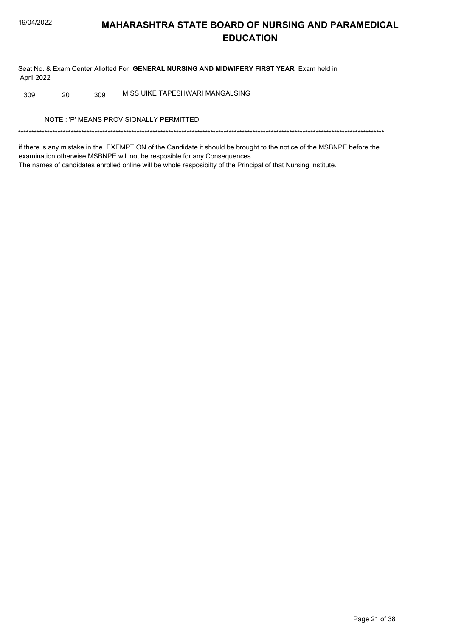Seat No. & Exam Center Allotted For GENERAL NURSING AND MIDWIFERY FIRST YEAR Exam held in April 2022

MISS UIKE TAPESHWARI MANGALSING 309 20 309

NOTE: 'P' MEANS PROVISIONALLY PERMITTED

if there is any mistake in the EXEMPTION of the Candidate it should be brought to the notice of the MSBNPE before the examination otherwise MSBNPE will not be resposible for any Consequences. The names of candidates enrolled online will be whole resposibilty of the Principal of that Nursing Institute.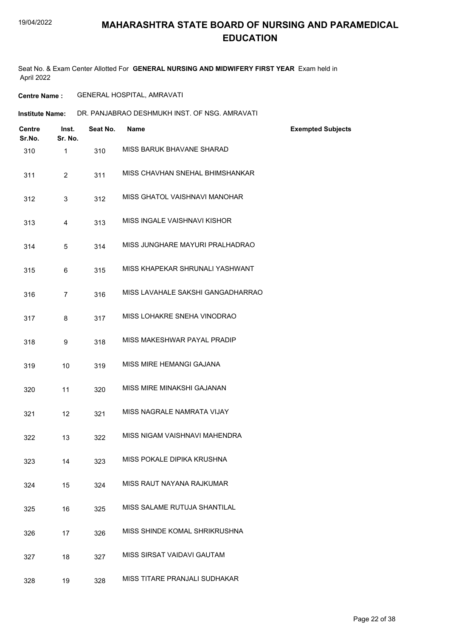#### 19/04/2022

#### **MAHARASHTRA STATE BOARD OF NURSING AND PARAMEDICAL EDUCATION**

Seat No. & Exam Center Allotted For **GENERAL NURSING AND MIDWIFERY FIRST YEAR** Exam held in April 2022

#### **Centre Name :** GENERAL HOSPITAL, AMRAVATI

**Institute Name: DR. PANJABRAO DESHMUKH INST. OF NSG. AMRAVATI** 

| <b>Centre</b><br>Sr.No. | Inst.<br>Sr. No. | Seat No. | <b>Name</b>                       | <b>Exempted Subjects</b> |
|-------------------------|------------------|----------|-----------------------------------|--------------------------|
| 310                     | $\mathbf{1}$     | 310      | MISS BARUK BHAVANE SHARAD         |                          |
| 311                     | $\overline{2}$   | 311      | MISS CHAVHAN SNEHAL BHIMSHANKAR   |                          |
| 312                     | 3                | 312      | MISS GHATOL VAISHNAVI MANOHAR     |                          |
| 313                     | 4                | 313      | MISS INGALE VAISHNAVI KISHOR      |                          |
| 314                     | 5                | 314      | MISS JUNGHARE MAYURI PRALHADRAO   |                          |
| 315                     | 6                | 315      | MISS KHAPEKAR SHRUNALI YASHWANT   |                          |
| 316                     | $\overline{7}$   | 316      | MISS LAVAHALE SAKSHI GANGADHARRAO |                          |
| 317                     | 8                | 317      | MISS LOHAKRE SNEHA VINODRAO       |                          |
| 318                     | 9                | 318      | MISS MAKESHWAR PAYAL PRADIP       |                          |
| 319                     | 10               | 319      | MISS MIRE HEMANGI GAJANA          |                          |
| 320                     | 11               | 320      | MISS MIRE MINAKSHI GAJANAN        |                          |
| 321                     | 12               | 321      | MISS NAGRALE NAMRATA VIJAY        |                          |
| 322                     | 13               | 322      | MISS NIGAM VAISHNAVI MAHENDRA     |                          |
| 323                     | 14               | 323      | MISS POKALE DIPIKA KRUSHNA        |                          |
| 324                     | 15               | 324      | MISS RAUT NAYANA RAJKUMAR         |                          |
| 325                     | 16               | 325      | MISS SALAME RUTUJA SHANTILAL      |                          |
| 326                     | 17               | 326      | MISS SHINDE KOMAL SHRIKRUSHNA     |                          |
| 327                     | 18               | 327      | MISS SIRSAT VAIDAVI GAUTAM        |                          |
| 328                     | 19               | 328      | MISS TITARE PRANJALI SUDHAKAR     |                          |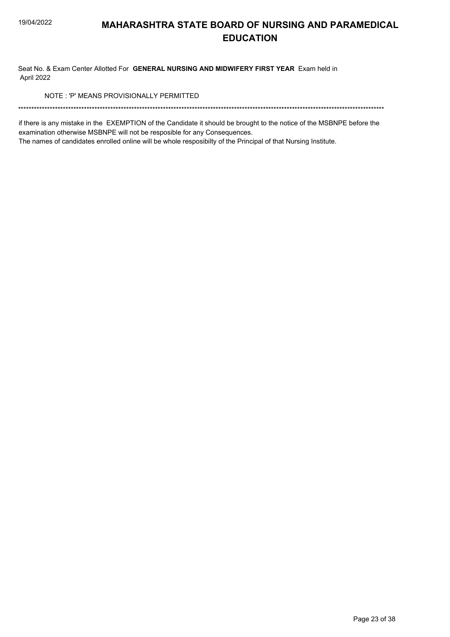Seat No. & Exam Center Allotted For GENERAL NURSING AND MIDWIFERY FIRST YEAR Exam held in April 2022

NOTE: 'P' MEANS PROVISIONALLY PERMITTED

if there is any mistake in the EXEMPTION of the Candidate it should be brought to the notice of the MSBNPE before the examination otherwise MSBNPE will not be resposible for any Consequences.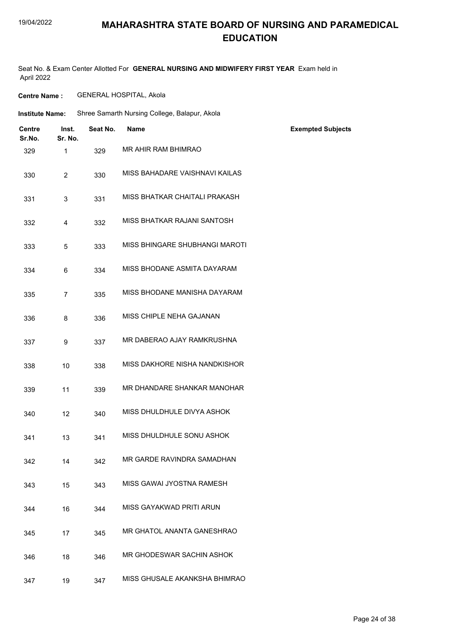#### 19/04/2022

#### **MAHARASHTRA STATE BOARD OF NURSING AND PARAMEDICAL EDUCATION**

Seat No. & Exam Center Allotted For **GENERAL NURSING AND MIDWIFERY FIRST YEAR** Exam held in April 2022

**Centre Name :** GENERAL HOSPITAL, Akola

| <b>Institute Name:</b>  |                  |          | Shree Samarth Nursing College, Balapur, Akola |                          |
|-------------------------|------------------|----------|-----------------------------------------------|--------------------------|
| <b>Centre</b><br>Sr.No. | Inst.<br>Sr. No. | Seat No. | Name                                          | <b>Exempted Subjects</b> |
| 329                     | $\mathbf{1}$     | 329      | MR AHIR RAM BHIMRAO                           |                          |
| 330                     | $\overline{2}$   | 330      | MISS BAHADARE VAISHNAVI KAILAS                |                          |
| 331                     | 3                | 331      | MISS BHATKAR CHAITALI PRAKASH                 |                          |
| 332                     | 4                | 332      | MISS BHATKAR RAJANI SANTOSH                   |                          |
| 333                     | 5                | 333      | MISS BHINGARE SHUBHANGI MAROTI                |                          |
| 334                     | 6                | 334      | MISS BHODANE ASMITA DAYARAM                   |                          |
| 335                     | $\overline{7}$   | 335      | MISS BHODANE MANISHA DAYARAM                  |                          |
| 336                     | 8                | 336      | MISS CHIPLE NEHA GAJANAN                      |                          |
| 337                     | 9                | 337      | MR DABERAO AJAY RAMKRUSHNA                    |                          |
| 338                     | 10               | 338      | MISS DAKHORE NISHA NANDKISHOR                 |                          |
| 339                     | 11               | 339      | MR DHANDARE SHANKAR MANOHAR                   |                          |
| 340                     | 12               | 340      | MISS DHULDHULE DIVYA ASHOK                    |                          |
| 341                     | 13               | 341      | MISS DHULDHULE SONU ASHOK                     |                          |
| 342                     | 14               | 342      | MR GARDE RAVINDRA SAMADHAN                    |                          |
| 343                     | 15               | 343      | MISS GAWAI JYOSTNA RAMESH                     |                          |
| 344                     | 16               | 344      | MISS GAYAKWAD PRITI ARUN                      |                          |
| 345                     | 17               | 345      | MR GHATOL ANANTA GANESHRAO                    |                          |
| 346                     | 18               | 346      | MR GHODESWAR SACHIN ASHOK                     |                          |
| 347                     | 19               | 347      | MISS GHUSALE AKANKSHA BHIMRAO                 |                          |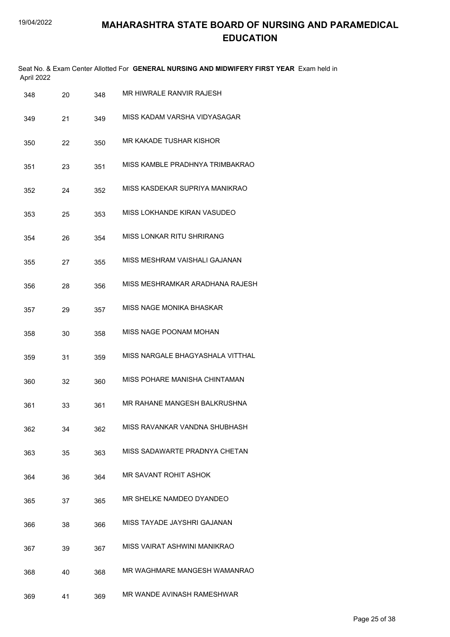| April 2022 |    |     | Seat No. & Exam Center Allotted For GENERAL NURSING AND MIDWIFERY FIRST YEAR Exam held in |
|------------|----|-----|-------------------------------------------------------------------------------------------|
| 348        | 20 | 348 | MR HIWRALE RANVIR RAJESH                                                                  |
| 349        | 21 | 349 | MISS KADAM VARSHA VIDYASAGAR                                                              |
| 350        | 22 | 350 | MR KAKADE TUSHAR KISHOR                                                                   |
| 351        | 23 | 351 | MISS KAMBLE PRADHNYA TRIMBAKRAO                                                           |
| 352        | 24 | 352 | MISS KASDEKAR SUPRIYA MANIKRAO                                                            |
| 353        | 25 | 353 | MISS LOKHANDE KIRAN VASUDEO                                                               |
| 354        | 26 | 354 | MISS LONKAR RITU SHRIRANG                                                                 |
| 355        | 27 | 355 | MISS MESHRAM VAISHALI GAJANAN                                                             |
| 356        | 28 | 356 | MISS MESHRAMKAR ARADHANA RAJESH                                                           |
| 357        | 29 | 357 | MISS NAGE MONIKA BHASKAR                                                                  |
| 358        | 30 | 358 | MISS NAGE POONAM MOHAN                                                                    |
| 359        | 31 | 359 | MISS NARGALE BHAGYASHALA VITTHAL                                                          |
| 360        | 32 | 360 | MISS POHARE MANISHA CHINTAMAN                                                             |
| 361        | 33 | 361 | MR RAHANE MANGESH BALKRUSHNA                                                              |
| 362        | 34 | 362 | MISS RAVANKAR VANDNA SHUBHASH                                                             |
| 363        | 35 | 363 | MISS SADAWARTE PRADNYA CHETAN                                                             |
| 364        | 36 | 364 | MR SAVANT ROHIT ASHOK                                                                     |
| 365        | 37 | 365 | MR SHELKE NAMDEO DYANDEO                                                                  |
| 366        | 38 | 366 | MISS TAYADE JAYSHRI GAJANAN                                                               |
| 367        | 39 | 367 | MISS VAIRAT ASHWINI MANIKRAO                                                              |
| 368        | 40 | 368 | MR WAGHMARE MANGESH WAMANRAO                                                              |
| 369        | 41 | 369 | MR WANDE AVINASH RAMESHWAR                                                                |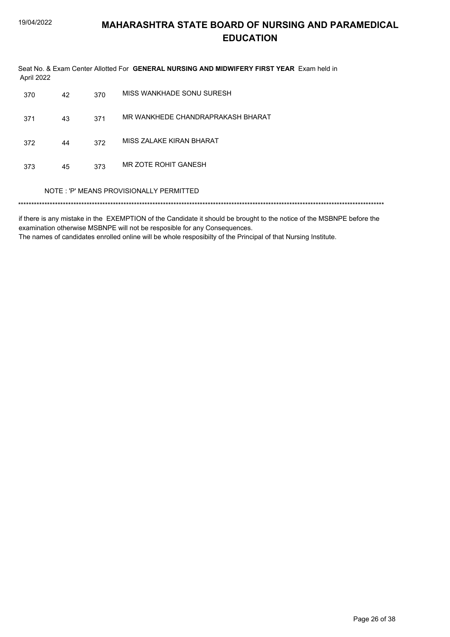| April 2022 |    |     | Seat No. & Exam Center Allotted For GENERAL NURSING AND MIDWIFERY FIRST YEAR Exam held in |
|------------|----|-----|-------------------------------------------------------------------------------------------|
| 370        | 42 | 370 | MISS WANKHADE SONU SURESH                                                                 |
| 371        | 43 | 371 | MR WANKHEDE CHANDRAPRAKASH BHARAT                                                         |
| 372        | 44 | 372 | MISS ZALAKE KIRAN BHARAT                                                                  |
| 373        | 45 | 373 | MR ZOTE ROHIT GANESH                                                                      |
|            |    |     | NOTE: 'P' MEANS PROVISIONALLY PERMITTED                                                   |
|            |    |     |                                                                                           |

if there is any mistake in the EXEMPTION of the Candidate it should be brought to the notice of the MSBNPE before the examination otherwise MSBNPE will not be resposible for any Consequences. The names of candidates enrolled online will be whole resposibilty of the Principal of that Nursing Institute.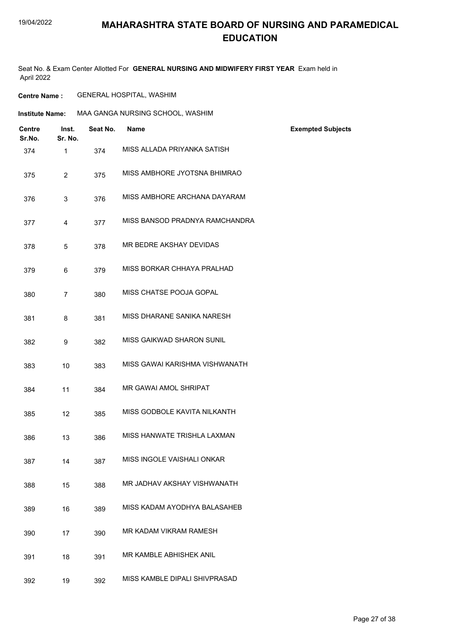Seat No. & Exam Center Allotted For **GENERAL NURSING AND MIDWIFERY FIRST YEAR** Exam held in April 2022

#### **Centre Name :** GENERAL HOSPITAL, WASHIM

| <b>Institute Name:</b>  |                  | MAA GANGA NURSING SCHOOL, WASHIM |                                  |                          |  |
|-------------------------|------------------|----------------------------------|----------------------------------|--------------------------|--|
| <b>Centre</b><br>Sr.No. | Inst.<br>Sr. No. | Seat No.                         | <b>Name</b>                      | <b>Exempted Subjects</b> |  |
| 374                     | $\mathbf{1}$     | 374                              | MISS ALLADA PRIYANKA SATISH      |                          |  |
| 375                     | $\overline{2}$   | 375                              | MISS AMBHORE JYOTSNA BHIMRAO     |                          |  |
| 376                     | 3                | 376                              | MISS AMBHORE ARCHANA DAYARAM     |                          |  |
| 377                     | 4                | 377                              | MISS BANSOD PRADNYA RAMCHANDRA   |                          |  |
| 378                     | 5                | 378                              | MR BEDRE AKSHAY DEVIDAS          |                          |  |
| 379                     | 6                | 379                              | MISS BORKAR CHHAYA PRALHAD       |                          |  |
| 380                     | $\overline{7}$   | 380                              | MISS CHATSE POOJA GOPAL          |                          |  |
| 381                     | 8                | 381                              | MISS DHARANE SANIKA NARESH       |                          |  |
| 382                     | 9                | 382                              | <b>MISS GAIKWAD SHARON SUNIL</b> |                          |  |
| 383                     | 10               | 383                              | MISS GAWAI KARISHMA VISHWANATH   |                          |  |
| 384                     | 11               | 384                              | MR GAWAI AMOL SHRIPAT            |                          |  |
| 385                     | 12               | 385                              | MISS GODBOLE KAVITA NILKANTH     |                          |  |
| 386                     | 13               | 386                              | MISS HANWATE TRISHLA LAXMAN      |                          |  |
| 387                     | 14               | 387                              | MISS INGOLE VAISHALI ONKAR       |                          |  |
| 388                     | 15               | 388                              | MR JADHAV AKSHAY VISHWANATH      |                          |  |
| 389                     | 16               | 389                              | MISS KADAM AYODHYA BALASAHEB     |                          |  |
| 390                     | 17               | 390                              | MR KADAM VIKRAM RAMESH           |                          |  |
| 391                     | 18               | 391                              | MR KAMBLE ABHISHEK ANIL          |                          |  |
| 392                     | 19               | 392                              | MISS KAMBLE DIPALI SHIVPRASAD    |                          |  |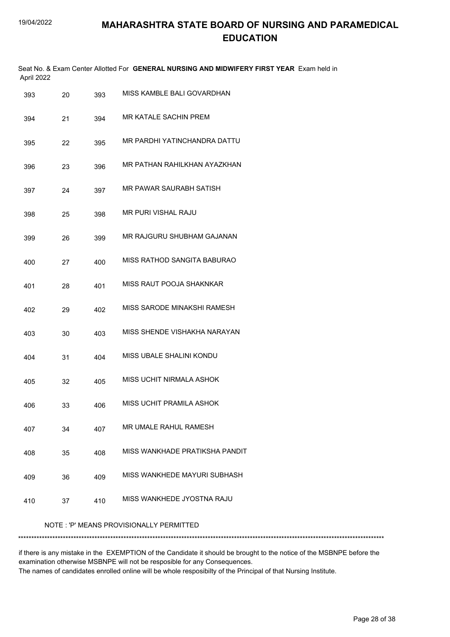| April 2022 |    |     | Seat No. & Exam Center Allotted For GENERAL NURSING AND MIDWIFERY FIRST YEAR Exam held in |
|------------|----|-----|-------------------------------------------------------------------------------------------|
| 393        | 20 | 393 | MISS KAMBLE BALI GOVARDHAN                                                                |
| 394        | 21 | 394 | MR KATALE SACHIN PREM                                                                     |
| 395        | 22 | 395 | MR PARDHI YATINCHANDRA DATTU                                                              |
| 396        | 23 | 396 | MR PATHAN RAHILKHAN AYAZKHAN                                                              |
| 397        | 24 | 397 | MR PAWAR SAURABH SATISH                                                                   |
| 398        | 25 | 398 | MR PURI VISHAL RAJU                                                                       |
| 399        | 26 | 399 | MR RAJGURU SHUBHAM GAJANAN                                                                |
| 400        | 27 | 400 | MISS RATHOD SANGITA BABURAO                                                               |
| 401        | 28 | 401 | MISS RAUT POOJA SHAKNKAR                                                                  |
| 402        | 29 | 402 | MISS SARODE MINAKSHI RAMESH                                                               |
| 403        | 30 | 403 | MISS SHENDE VISHAKHA NARAYAN                                                              |
| 404        | 31 | 404 | MISS UBALE SHALINI KONDU                                                                  |
| 405        | 32 | 405 | MISS UCHIT NIRMALA ASHOK                                                                  |
| 406        | 33 | 406 | MISS UCHIT PRAMILA ASHOK                                                                  |
| 407        | 34 | 407 | MR UMALE RAHUL RAMESH                                                                     |
| 408        | 35 | 408 | MISS WANKHADE PRATIKSHA PANDIT                                                            |
| 409        | 36 | 409 | MISS WANKHEDE MAYURI SUBHASH                                                              |
| 410        | 37 | 410 | MISS WANKHEDE JYOSTNA RAJU                                                                |
|            |    |     | NOTE: 'P' MEANS PROVISIONALLY PERMITTED                                                   |
|            |    |     |                                                                                           |

if there is any mistake in the EXEMPTION of the Candidate it should be brought to the notice of the MSBNPE before the examination otherwise MSBNPE will not be resposible for any Consequences. The names of candidates enrolled online will be whole resposibilty of the Principal of that Nursing Institute.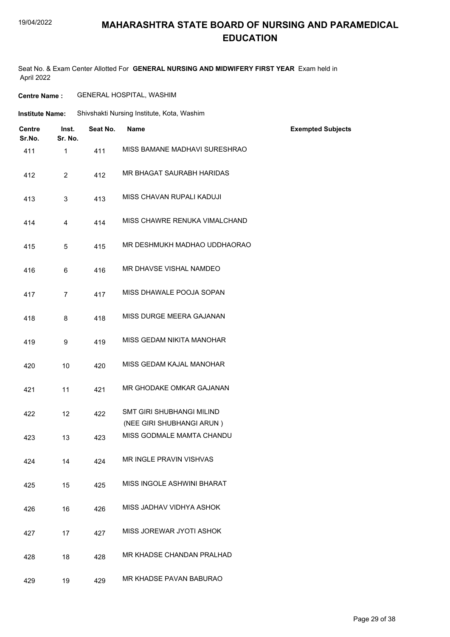#### 19/04/2022

#### **MAHARASHTRA STATE BOARD OF NURSING AND PARAMEDICAL EDUCATION**

Seat No. & Exam Center Allotted For **GENERAL NURSING AND MIDWIFERY FIRST YEAR** Exam held in April 2022

| <b>Centre Name :</b> | <b>GENERAL HOSPITAL, WASHIM</b> |
|----------------------|---------------------------------|
|----------------------|---------------------------------|

| Institute Name: | Shivshakti Nursing Institute, Kota, Washim |  |
|-----------------|--------------------------------------------|--|
|                 |                                            |  |

| <b>Centre</b><br>Sr.No. | Inst.<br>Sr. No. | Seat No. | <b>Name</b>                                                   | <b>Exempted Subjects</b> |
|-------------------------|------------------|----------|---------------------------------------------------------------|--------------------------|
| 411                     | $\mathbf{1}$     | 411      | MISS BAMANE MADHAVI SURESHRAO                                 |                          |
| 412                     | $\overline{2}$   | 412      | MR BHAGAT SAURABH HARIDAS                                     |                          |
| 413                     | 3                | 413      | MISS CHAVAN RUPALI KADUJI                                     |                          |
| 414                     | $\overline{4}$   | 414      | MISS CHAWRE RENUKA VIMALCHAND                                 |                          |
| 415                     | 5                | 415      | MR DESHMUKH MADHAO UDDHAORAO                                  |                          |
| 416                     | 6                | 416      | MR DHAVSE VISHAL NAMDEO                                       |                          |
| 417                     | $\overline{7}$   | 417      | MISS DHAWALE POOJA SOPAN                                      |                          |
| 418                     | 8                | 418      | MISS DURGE MEERA GAJANAN                                      |                          |
| 419                     | 9                | 419      | MISS GEDAM NIKITA MANOHAR                                     |                          |
| 420                     | 10               | 420      | MISS GEDAM KAJAL MANOHAR                                      |                          |
| 421                     | 11               | 421      | MR GHODAKE OMKAR GAJANAN                                      |                          |
| 422                     | 12               | 422      | <b>SMT GIRI SHUBHANGI MILIND</b><br>(NEE GIRI SHUBHANGI ARUN) |                          |
| 423                     | 13               | 423      | MISS GODMALE MAMTA CHANDU                                     |                          |
| 424                     | 14               | 424      | MR INGLE PRAVIN VISHVAS                                       |                          |
| 425                     | 15               | 425      | MISS INGOLE ASHWINI BHARAT                                    |                          |
| 426                     | 16               | 426      | MISS JADHAV VIDHYA ASHOK                                      |                          |
| 427                     | 17               | 427      | MISS JOREWAR JYOTI ASHOK                                      |                          |
| 428                     | 18               | 428      | MR KHADSE CHANDAN PRALHAD                                     |                          |
| 429                     | 19               | 429      | MR KHADSE PAVAN BABURAO                                       |                          |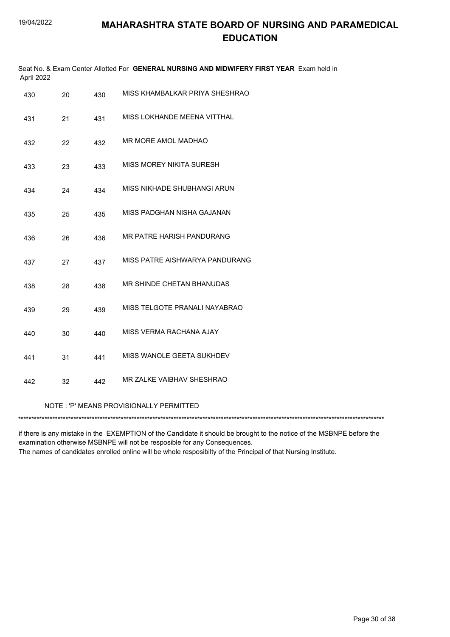| April 2022 |    |     | Seat No. & Exam Center Allotted For GENERAL NURSING AND MIDWIFERY FIRST YEAR Exam held in |
|------------|----|-----|-------------------------------------------------------------------------------------------|
| 430        | 20 | 430 | MISS KHAMBALKAR PRIYA SHESHRAO                                                            |
| 431        | 21 | 431 | MISS LOKHANDE MEENA VITTHAL                                                               |
| 432        | 22 | 432 | MR MORE AMOL MADHAO                                                                       |
| 433        | 23 | 433 | MISS MOREY NIKITA SURESH                                                                  |
| 434        | 24 | 434 | MISS NIKHADE SHUBHANGI ARUN                                                               |
| 435        | 25 | 435 | MISS PADGHAN NISHA GAJANAN                                                                |
| 436        | 26 | 436 | MR PATRE HARISH PANDURANG                                                                 |
| 437        | 27 | 437 | MISS PATRE AISHWARYA PANDURANG                                                            |
| 438        | 28 | 438 | MR SHINDE CHETAN BHANUDAS                                                                 |
| 439        | 29 | 439 | MISS TELGOTE PRANALI NAYABRAO                                                             |
| 440        | 30 | 440 | MISS VERMA RACHANA AJAY                                                                   |
| 441        | 31 | 441 | MISS WANOLE GEETA SUKHDEV                                                                 |
| 442        | 32 | 442 | MR ZALKE VAIBHAV SHESHRAO                                                                 |
|            |    |     | NOTE: 'P' MEANS PROVISIONALLY PERMITTED                                                   |
|            |    |     |                                                                                           |

if there is any mistake in the EXEMPTION of the Candidate it should be brought to the notice of the MSBNPE before the examination otherwise MSBNPE will not be resposible for any Consequences. The names of candidates enrolled online will be whole resposibilty of the Principal of that Nursing Institute.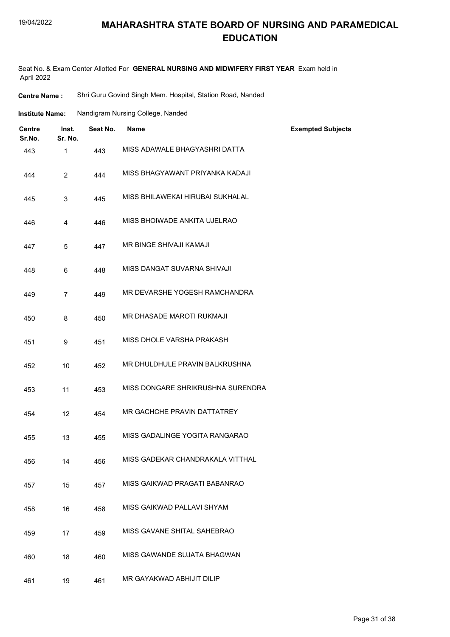#### 19/04/2022

#### **MAHARASHTRA STATE BOARD OF NURSING AND PARAMEDICAL EDUCATION**

Seat No. & Exam Center Allotted For **GENERAL NURSING AND MIDWIFERY FIRST YEAR** Exam held in April 2022

| <b>Centre Name :</b> | Shri Guru Govind Singh Mem. Hospital, Station Road, Nanded |  |  |  |  |
|----------------------|------------------------------------------------------------|--|--|--|--|
|----------------------|------------------------------------------------------------|--|--|--|--|

| <b>Institute Name:</b> | Nandigram Nursing College, Nanded |  |  |
|------------------------|-----------------------------------|--|--|
|                        |                                   |  |  |

| <b>Centre</b><br>Sr.No. | Inst.<br>Sr. No. | Seat No. | <b>Name</b>                       | <b>Exempted Subjects</b> |
|-------------------------|------------------|----------|-----------------------------------|--------------------------|
| 443                     | $\mathbf{1}$     | 443      | MISS ADAWALE BHAGYASHRI DATTA     |                          |
| 444                     | $\overline{2}$   | 444      | MISS BHAGYAWANT PRIYANKA KADAJI   |                          |
| 445                     | 3                | 445      | MISS BHILAWEKAI HIRUBAI SUKHALAL  |                          |
| 446                     | 4                | 446      | MISS BHOIWADE ANKITA UJELRAO      |                          |
| 447                     | 5                | 447      | MR BINGE SHIVAJI KAMAJI           |                          |
| 448                     | 6                | 448      | MISS DANGAT SUVARNA SHIVAJI       |                          |
| 449                     | $\overline{7}$   | 449      | MR DEVARSHE YOGESH RAMCHANDRA     |                          |
| 450                     | 8                | 450      | MR DHASADE MAROTI RUKMAJI         |                          |
| 451                     | 9                | 451      | MISS DHOLE VARSHA PRAKASH         |                          |
| 452                     | 10               | 452      | MR DHULDHULE PRAVIN BALKRUSHNA    |                          |
| 453                     | 11               | 453      | MISS DONGARE SHRIKRUSHNA SURENDRA |                          |
| 454                     | 12               | 454      | MR GACHCHE PRAVIN DATTATREY       |                          |
| 455                     | 13               | 455      | MISS GADALINGE YOGITA RANGARAO    |                          |
| 456                     | 14               | 456      | MISS GADEKAR CHANDRAKALA VITTHAL  |                          |
| 457                     | 15               | 457      | MISS GAIKWAD PRAGATI BABANRAO     |                          |
| 458                     | 16               | 458      | MISS GAIKWAD PALLAVI SHYAM        |                          |
| 459                     | 17               | 459      | MISS GAVANE SHITAL SAHEBRAO       |                          |
| 460                     | 18               | 460      | MISS GAWANDE SUJATA BHAGWAN       |                          |
| 461                     | 19               | 461      | MR GAYAKWAD ABHIJIT DILIP         |                          |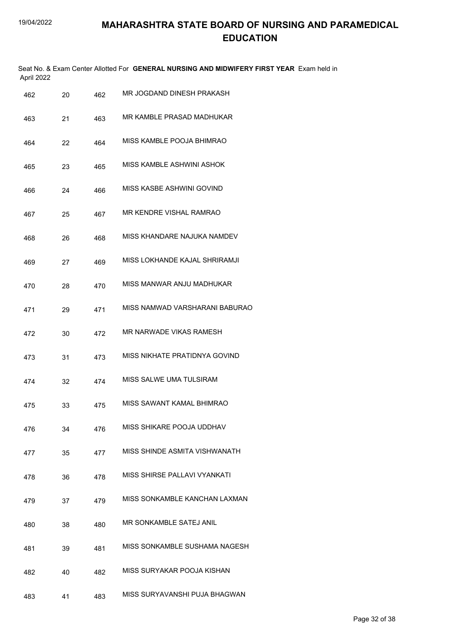|     | April 2022 |    |     | Seat No. & Exam Center Allotted For GENERAL NURSING AND MIDWIFERY FIRST YEAR Exam held in |
|-----|------------|----|-----|-------------------------------------------------------------------------------------------|
|     | 462        | 20 | 462 | MR JOGDAND DINESH PRAKASH                                                                 |
| 463 |            | 21 | 463 | MR KAMBLE PRASAD MADHUKAR                                                                 |
|     | 464        | 22 | 464 | MISS KAMBLE POOJA BHIMRAO                                                                 |
| 465 |            | 23 | 465 | MISS KAMBLE ASHWINI ASHOK                                                                 |
|     | 466        | 24 | 466 | MISS KASBE ASHWINI GOVIND                                                                 |
|     | 467        | 25 | 467 | MR KENDRE VISHAL RAMRAO                                                                   |
| 468 |            | 26 | 468 | MISS KHANDARE NAJUKA NAMDEV                                                               |
|     | 469        | 27 | 469 | MISS LOKHANDE KAJAL SHRIRAMJI                                                             |
|     | 470        | 28 | 470 | MISS MANWAR ANJU MADHUKAR                                                                 |
| 471 |            | 29 | 471 | MISS NAMWAD VARSHARANI BABURAO                                                            |
|     | 472        | 30 | 472 | MR NARWADE VIKAS RAMESH                                                                   |
|     | 473        | 31 | 473 | MISS NIKHATE PRATIDNYA GOVIND                                                             |
|     | 474        | 32 | 474 | MISS SALWE UMA TULSIRAM                                                                   |
|     | 475        | 33 | 475 | MISS SAWANT KAMAL BHIMRAO                                                                 |
|     | 476        | 34 | 476 | MISS SHIKARE POOJA UDDHAV                                                                 |
|     | 477        | 35 | 477 | MISS SHINDE ASMITA VISHWANATH                                                             |
|     | 478        | 36 | 478 | MISS SHIRSE PALLAVI VYANKATI                                                              |
|     | 479        | 37 | 479 | MISS SONKAMBLE KANCHAN LAXMAN                                                             |
| 480 |            | 38 | 480 | MR SONKAMBLE SATEJ ANIL                                                                   |
| 481 |            | 39 | 481 | MISS SONKAMBLE SUSHAMA NAGESH                                                             |
|     | 482        | 40 | 482 | MISS SURYAKAR POOJA KISHAN                                                                |
|     | 483        | 41 | 483 | MISS SURYAVANSHI PUJA BHAGWAN                                                             |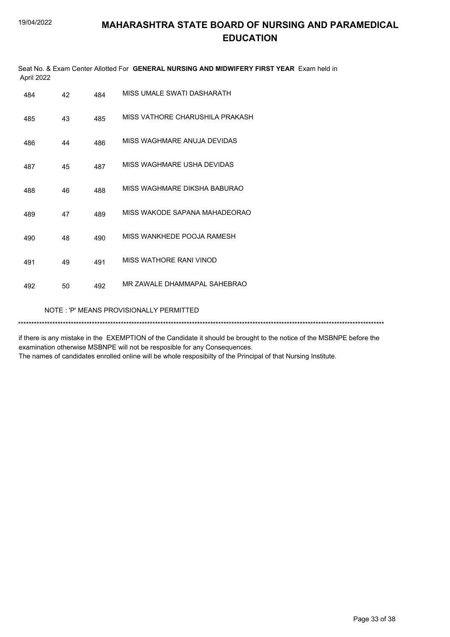| Seat No. & Exam Center Allotted For GENERAL NURSING AND MIDWIFERY FIRST YEAR Exam held in<br>April 2022 |                                         |     |                                 |  |  |  |
|---------------------------------------------------------------------------------------------------------|-----------------------------------------|-----|---------------------------------|--|--|--|
| 484                                                                                                     | 42                                      | 484 | MISS UMALE SWATI DASHARATH      |  |  |  |
| 485                                                                                                     | 43                                      | 485 | MISS VATHORE CHARUSHILA PRAKASH |  |  |  |
| 486                                                                                                     | 44                                      | 486 | MISS WAGHMARE ANUJA DEVIDAS     |  |  |  |
| 487                                                                                                     | 45                                      | 487 | MISS WAGHMARE USHA DEVIDAS      |  |  |  |
| 488                                                                                                     | 46                                      | 488 | MISS WAGHMARE DIKSHA BABURAO    |  |  |  |
| 489                                                                                                     | 47                                      | 489 | MISS WAKODE SAPANA MAHADEORAO   |  |  |  |
| 490                                                                                                     | 48                                      | 490 | MISS WANKHEDE POOJA RAMESH      |  |  |  |
| 491                                                                                                     | 49                                      | 491 | MISS WATHORE RANI VINOD         |  |  |  |
| 492                                                                                                     | 50                                      | 492 | MR ZAWALE DHAMMAPAL SAHEBRAO    |  |  |  |
|                                                                                                         | NOTE: 'P' MEANS PROVISIONALLY PERMITTED |     |                                 |  |  |  |
|                                                                                                         |                                         |     |                                 |  |  |  |

if there is any mistake in the EXEMPTION of the Candidate it should be brought to the notice of the MSBNPE before the examination otherwise MSBNPE will not be resposible for any Consequences. The names of candidates enrolled online will be whole resposibilty of the Principal of that Nursing Institute.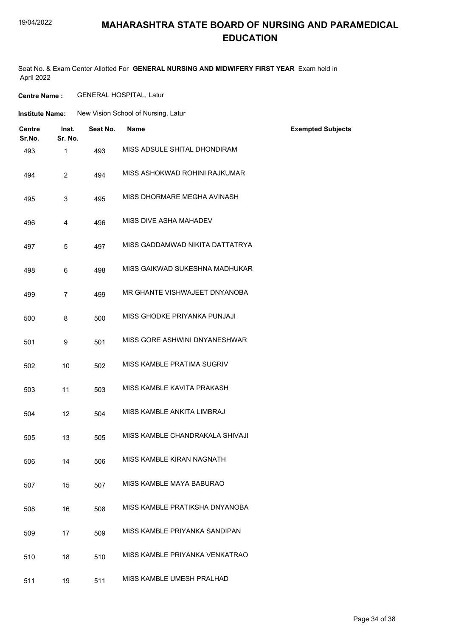#### 19/04/2022

#### **MAHARASHTRA STATE BOARD OF NURSING AND PARAMEDICAL EDUCATION**

Seat No. & Exam Center Allotted For **GENERAL NURSING AND MIDWIFERY FIRST YEAR** Exam held in April 2022

**Centre Name :** GENERAL HOSPITAL, Latur

| <b>Institute Name:</b> | New Vision School of Nursing, Latur |  |
|------------------------|-------------------------------------|--|
|                        |                                     |  |

| <b>Centre</b><br>Sr.No. | Inst.<br>Sr. No. | Seat No. | <b>Name</b>                     | <b>Exempted Subjects</b> |
|-------------------------|------------------|----------|---------------------------------|--------------------------|
| 493                     | 1                | 493      | MISS ADSULE SHITAL DHONDIRAM    |                          |
| 494                     | $\overline{2}$   | 494      | MISS ASHOKWAD ROHINI RAJKUMAR   |                          |
| 495                     | 3                | 495      | MISS DHORMARE MEGHA AVINASH     |                          |
| 496                     | 4                | 496      | MISS DIVE ASHA MAHADEV          |                          |
| 497                     | 5                | 497      | MISS GADDAMWAD NIKITA DATTATRYA |                          |
| 498                     | 6                | 498      | MISS GAIKWAD SUKESHNA MADHUKAR  |                          |
| 499                     | $\overline{7}$   | 499      | MR GHANTE VISHWAJEET DNYANOBA   |                          |
| 500                     | 8                | 500      | MISS GHODKE PRIYANKA PUNJAJI    |                          |
| 501                     | 9                | 501      | MISS GORE ASHWINI DNYANESHWAR   |                          |
| 502                     | 10               | 502      | MISS KAMBLE PRATIMA SUGRIV      |                          |
| 503                     | 11               | 503      | MISS KAMBLE KAVITA PRAKASH      |                          |
| 504                     | 12               | 504      | MISS KAMBLE ANKITA LIMBRAJ      |                          |
| 505                     | 13               | 505      | MISS KAMBLE CHANDRAKALA SHIVAJI |                          |
| 506                     | 14               | 506      | MISS KAMBLE KIRAN NAGNATH       |                          |
| 507                     | 15               | 507      | MISS KAMBLE MAYA BABURAO        |                          |
| 508                     | 16               | 508      | MISS KAMBLE PRATIKSHA DNYANOBA  |                          |
| 509                     | 17               | 509      | MISS KAMBLE PRIYANKA SANDIPAN   |                          |
| 510                     | 18               | 510      | MISS KAMBLE PRIYANKA VENKATRAO  |                          |
| 511                     | 19               | 511      | MISS KAMBLE UMESH PRALHAD       |                          |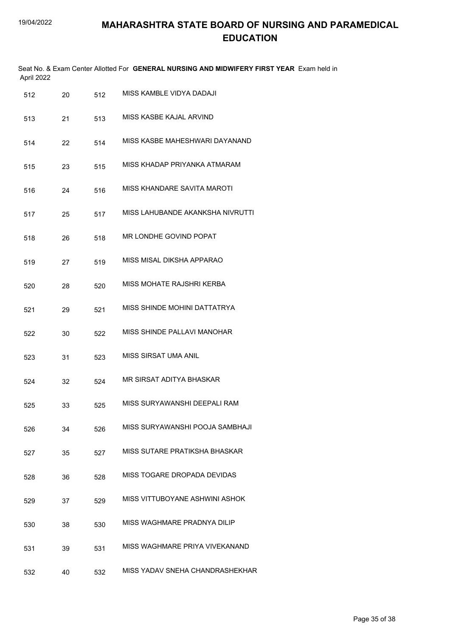| April 2022 |    |     | Seat No. & Exam Center Allotted For GENERAL NURSING AND MIDWIFERY FIRST YEAR Exam held in |
|------------|----|-----|-------------------------------------------------------------------------------------------|
| 512        | 20 | 512 | MISS KAMBLE VIDYA DADAJI                                                                  |
| 513        | 21 | 513 | MISS KASBE KAJAL ARVIND                                                                   |
| 514        | 22 | 514 | MISS KASBE MAHESHWARI DAYANAND                                                            |
| 515        | 23 | 515 | MISS KHADAP PRIYANKA ATMARAM                                                              |
| 516        | 24 | 516 | MISS KHANDARE SAVITA MAROTI                                                               |
| 517        | 25 | 517 | MISS LAHUBANDE AKANKSHA NIVRUTTI                                                          |
| 518        | 26 | 518 | MR LONDHE GOVIND POPAT                                                                    |
| 519        | 27 | 519 | MISS MISAL DIKSHA APPARAO                                                                 |
| 520        | 28 | 520 | MISS MOHATE RAJSHRI KERBA                                                                 |
| 521        | 29 | 521 | MISS SHINDE MOHINI DATTATRYA                                                              |
| 522        | 30 | 522 | MISS SHINDE PALLAVI MANOHAR                                                               |
| 523        | 31 | 523 | MISS SIRSAT UMA ANIL                                                                      |
| 524        | 32 | 524 | MR SIRSAT ADITYA BHASKAR                                                                  |
| 525        | 33 | 525 | MISS SURYAWANSHI DEEPALI RAM                                                              |
| 526        | 34 | 526 | MISS SURYAWANSHI POOJA SAMBHAJI                                                           |
| 527        | 35 | 527 | MISS SUTARE PRATIKSHA BHASKAR                                                             |
| 528        | 36 | 528 | MISS TOGARE DROPADA DEVIDAS                                                               |
| 529        | 37 | 529 | MISS VITTUBOYANE ASHWINI ASHOK                                                            |
| 530        | 38 | 530 | MISS WAGHMARE PRADNYA DILIP                                                               |
| 531        | 39 | 531 | MISS WAGHMARE PRIYA VIVEKANAND                                                            |
| 532        | 40 | 532 | MISS YADAV SNEHA CHANDRASHEKHAR                                                           |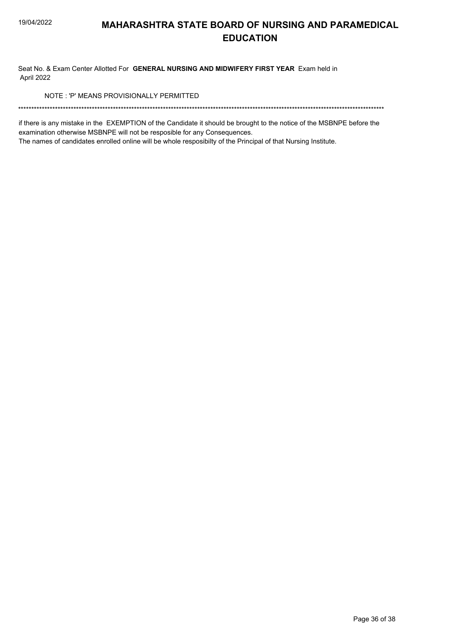Seat No. & Exam Center Allotted For GENERAL NURSING AND MIDWIFERY FIRST YEAR Exam held in April 2022

NOTE: 'P' MEANS PROVISIONALLY PERMITTED

if there is any mistake in the EXEMPTION of the Candidate it should be brought to the notice of the MSBNPE before the examination otherwise MSBNPE will not be resposible for any Consequences.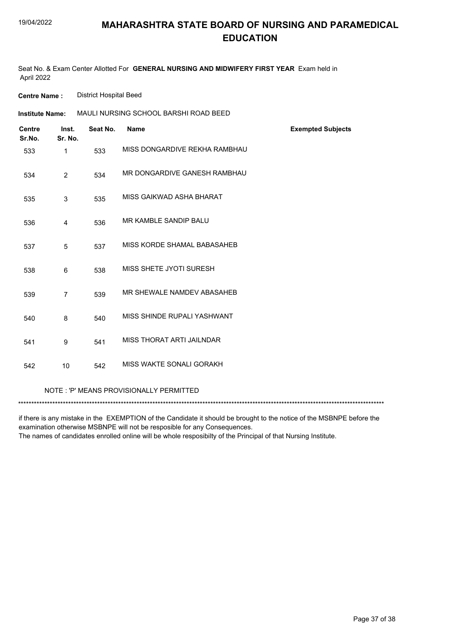Seat No. & Exam Center Allotted For **GENERAL NURSING AND MIDWIFERY FIRST YEAR** Exam held in April 2022

**Centre Name :** District Hospital Beed

| <b>Institute Name:</b>  |                  | MAULI NURSING SCHOOL BARSHI ROAD BEED |                               |                          |
|-------------------------|------------------|---------------------------------------|-------------------------------|--------------------------|
| <b>Centre</b><br>Sr.No. | Inst.<br>Sr. No. | Seat No.                              | <b>Name</b>                   | <b>Exempted Subjects</b> |
| 533                     | $\mathbf{1}$     | 533                                   | MISS DONGARDIVE REKHA RAMBHAU |                          |
| 534                     | $\overline{2}$   | 534                                   | MR DONGARDIVE GANESH RAMBHAU  |                          |
| 535                     | $\mathsf 3$      | 535                                   | MISS GAIKWAD ASHA BHARAT      |                          |
| 536                     | 4                | 536                                   | MR KAMBLE SANDIP BALU         |                          |
| 537                     | 5                | 537                                   | MISS KORDE SHAMAL BABASAHEB   |                          |
| 538                     | 6                | 538                                   | MISS SHETE JYOTI SURESH       |                          |
| 539                     | $\overline{7}$   | 539                                   | MR SHEWALE NAMDEV ABASAHEB    |                          |
| 540                     | 8                | 540                                   | MISS SHINDE RUPALI YASHWANT   |                          |
| 541                     | 9                | 541                                   | MISS THORAT ARTI JAILNDAR     |                          |
| 542                     | 10               | 542                                   | MISS WAKTE SONALI GORAKH      |                          |
|                         |                  |                                       |                               |                          |

NOTE : 'P' MEANS PROVISIONALLY PERMITTED

\*\*\*\*\*\*\*\*\*\*\*\*\*\*\*\*\*\*\*\*\*\*\*\*\*\*\*\*\*\*\*\*\*\*\*\*\*\*\*\*\*\*\*\*\*\*\*\*\*\*\*\*\*\*\*\*\*\*\*\*\*\*\*\*\*\*\*\*\*\*\*\*\*\*\*\*\*\*\*\*\*\*\*\*\*\*\*\*\*\*\*\*\*\*\*\*\*\*\*\*\*\*\*\*\*\*\*\*\*\*\*\*\*\*\*\*\*\*\*\*\*\*\*\*\*\*\*\*\*\*\*\*\*\*\*\*\*\*\*

if there is any mistake in the EXEMPTION of the Candidate it should be brought to the notice of the MSBNPE before the examination otherwise MSBNPE will not be resposible for any Consequences.